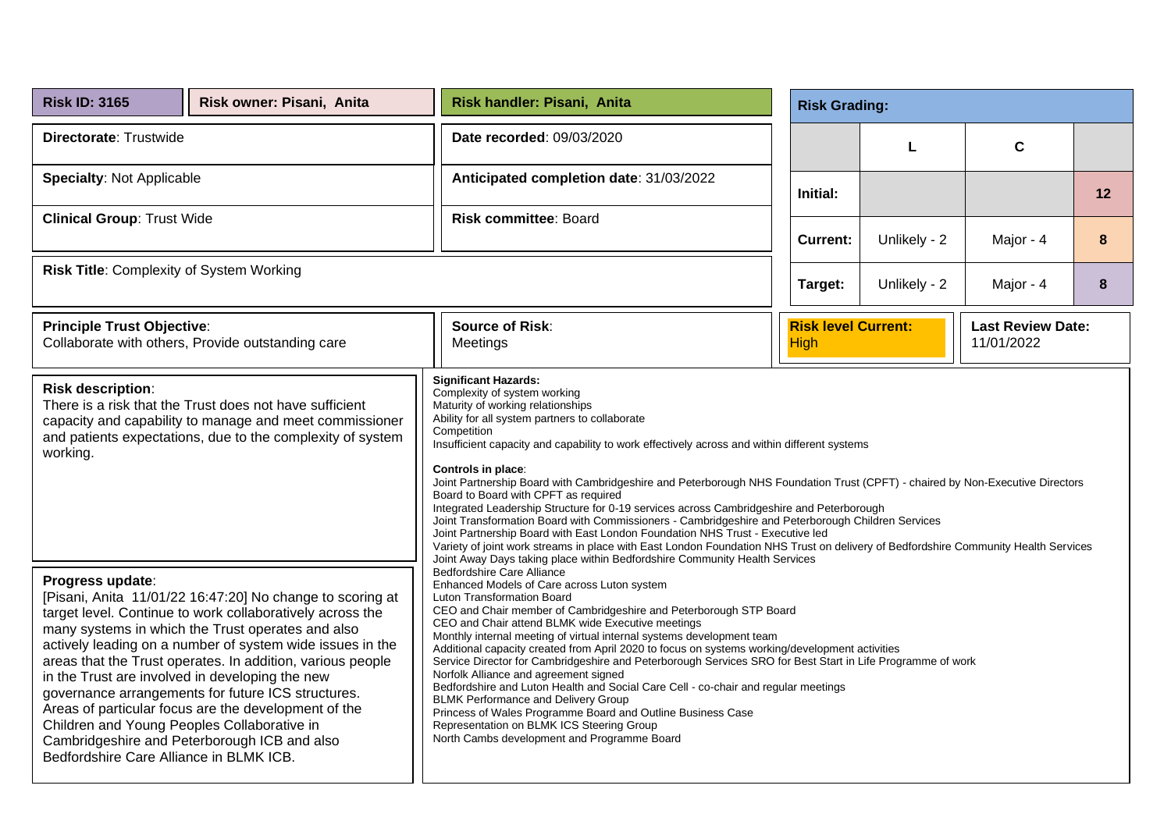| <b>Risk ID: 3165</b>                                                                                       | Risk owner: Pisani, Anita                                                                                                                                                                                                                                                                                                                                                                                                                                                                                               | Risk handler: Pisani, Anita                                                                                                                                                                                                                                                                                                                                                                                                                                                                                                                                                                                                                                                                                                                                                                                                                                                                                                                             |                 | <b>Risk Grading:</b>                      |              |                                        |    |  |
|------------------------------------------------------------------------------------------------------------|-------------------------------------------------------------------------------------------------------------------------------------------------------------------------------------------------------------------------------------------------------------------------------------------------------------------------------------------------------------------------------------------------------------------------------------------------------------------------------------------------------------------------|---------------------------------------------------------------------------------------------------------------------------------------------------------------------------------------------------------------------------------------------------------------------------------------------------------------------------------------------------------------------------------------------------------------------------------------------------------------------------------------------------------------------------------------------------------------------------------------------------------------------------------------------------------------------------------------------------------------------------------------------------------------------------------------------------------------------------------------------------------------------------------------------------------------------------------------------------------|-----------------|-------------------------------------------|--------------|----------------------------------------|----|--|
| Directorate: Trustwide                                                                                     |                                                                                                                                                                                                                                                                                                                                                                                                                                                                                                                         | Date recorded: 09/03/2020                                                                                                                                                                                                                                                                                                                                                                                                                                                                                                                                                                                                                                                                                                                                                                                                                                                                                                                               |                 |                                           | L            | $\mathbf c$                            |    |  |
| <b>Specialty: Not Applicable</b>                                                                           |                                                                                                                                                                                                                                                                                                                                                                                                                                                                                                                         | Anticipated completion date: 31/03/2022                                                                                                                                                                                                                                                                                                                                                                                                                                                                                                                                                                                                                                                                                                                                                                                                                                                                                                                 |                 | Initial:                                  |              |                                        | 12 |  |
| <b>Clinical Group: Trust Wide</b>                                                                          |                                                                                                                                                                                                                                                                                                                                                                                                                                                                                                                         | <b>Risk committee: Board</b>                                                                                                                                                                                                                                                                                                                                                                                                                                                                                                                                                                                                                                                                                                                                                                                                                                                                                                                            | <b>Current:</b> | Unlikely - 2                              | Major - 4    | 8                                      |    |  |
| Risk Title: Complexity of System Working                                                                   |                                                                                                                                                                                                                                                                                                                                                                                                                                                                                                                         |                                                                                                                                                                                                                                                                                                                                                                                                                                                                                                                                                                                                                                                                                                                                                                                                                                                                                                                                                         |                 | Target:                                   | Unlikely - 2 | Major - 4                              | 8  |  |
| <b>Principle Trust Objective:</b>                                                                          | Collaborate with others, Provide outstanding care                                                                                                                                                                                                                                                                                                                                                                                                                                                                       | <b>Source of Risk:</b><br>Meetings                                                                                                                                                                                                                                                                                                                                                                                                                                                                                                                                                                                                                                                                                                                                                                                                                                                                                                                      |                 | <b>Risk level Current:</b><br><b>High</b> |              | <b>Last Review Date:</b><br>11/01/2022 |    |  |
| <b>Risk description:</b><br>working.                                                                       | There is a risk that the Trust does not have sufficient<br>capacity and capability to manage and meet commissioner<br>and patients expectations, due to the complexity of system                                                                                                                                                                                                                                                                                                                                        | <b>Significant Hazards:</b><br>Complexity of system working<br>Maturity of working relationships<br>Ability for all system partners to collaborate<br>Competition<br>Insufficient capacity and capability to work effectively across and within different systems<br>Controls in place:<br>Joint Partnership Board with Cambridgeshire and Peterborough NHS Foundation Trust (CPFT) - chaired by Non-Executive Directors<br>Board to Board with CPFT as required<br>Integrated Leadership Structure for 0-19 services across Cambridgeshire and Peterborough<br>Joint Transformation Board with Commissioners - Cambridgeshire and Peterborough Children Services<br>Joint Partnership Board with East London Foundation NHS Trust - Executive led<br>Variety of joint work streams in place with East London Foundation NHS Trust on delivery of Bedfordshire Community Health Services                                                                |                 |                                           |              |                                        |    |  |
| Progress update:<br>Children and Young Peoples Collaborative in<br>Bedfordshire Care Alliance in BLMK ICB. | [Pisani, Anita 11/01/22 16:47:20] No change to scoring at<br>target level. Continue to work collaboratively across the<br>many systems in which the Trust operates and also<br>actively leading on a number of system wide issues in the<br>areas that the Trust operates. In addition, various people<br>in the Trust are involved in developing the new<br>governance arrangements for future ICS structures.<br>Areas of particular focus are the development of the<br>Cambridgeshire and Peterborough ICB and also | Joint Away Days taking place within Bedfordshire Community Health Services<br><b>Bedfordshire Care Alliance</b><br>Enhanced Models of Care across Luton system<br>Luton Transformation Board<br>CEO and Chair member of Cambridgeshire and Peterborough STP Board<br>CEO and Chair attend BLMK wide Executive meetings<br>Monthly internal meeting of virtual internal systems development team<br>Additional capacity created from April 2020 to focus on systems working/development activities<br>Service Director for Cambridgeshire and Peterborough Services SRO for Best Start in Life Programme of work<br>Norfolk Alliance and agreement signed<br>Bedfordshire and Luton Health and Social Care Cell - co-chair and regular meetings<br><b>BLMK Performance and Delivery Group</b><br>Princess of Wales Programme Board and Outline Business Case<br>Representation on BLMK ICS Steering Group<br>North Cambs development and Programme Board |                 |                                           |              |                                        |    |  |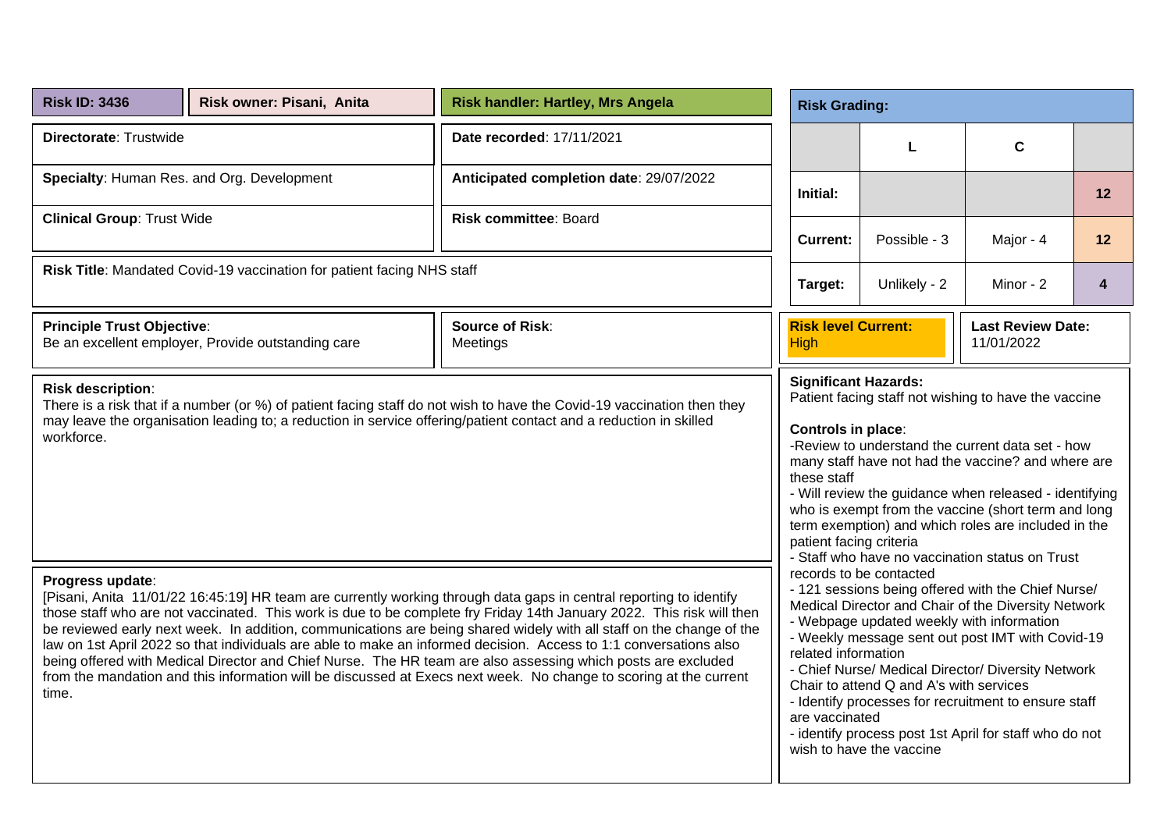| <b>Risk ID: 3436</b>                   | Risk owner: Pisani, Anita                                              | <b>Risk handler: Hartley, Mrs Angela</b>                                                                                                                                                                                                                                                                                                                                                                                                                                                                                                                                                                                                                                                                                      |                                                                                             | <b>Risk Grading:</b>                                                                                                                        |                                                                                                                                                                                                                                                                                                                                                                                           |                  |  |  |  |
|----------------------------------------|------------------------------------------------------------------------|-------------------------------------------------------------------------------------------------------------------------------------------------------------------------------------------------------------------------------------------------------------------------------------------------------------------------------------------------------------------------------------------------------------------------------------------------------------------------------------------------------------------------------------------------------------------------------------------------------------------------------------------------------------------------------------------------------------------------------|---------------------------------------------------------------------------------------------|---------------------------------------------------------------------------------------------------------------------------------------------|-------------------------------------------------------------------------------------------------------------------------------------------------------------------------------------------------------------------------------------------------------------------------------------------------------------------------------------------------------------------------------------------|------------------|--|--|--|
| Directorate: Trustwide                 |                                                                        | Date recorded: 17/11/2021                                                                                                                                                                                                                                                                                                                                                                                                                                                                                                                                                                                                                                                                                                     |                                                                                             | L                                                                                                                                           | $\mathbf c$                                                                                                                                                                                                                                                                                                                                                                               |                  |  |  |  |
|                                        | Specialty: Human Res. and Org. Development                             | Anticipated completion date: 29/07/2022                                                                                                                                                                                                                                                                                                                                                                                                                                                                                                                                                                                                                                                                                       | Initial:                                                                                    |                                                                                                                                             |                                                                                                                                                                                                                                                                                                                                                                                           | 12               |  |  |  |
| <b>Clinical Group: Trust Wide</b>      |                                                                        | Risk committee: Board                                                                                                                                                                                                                                                                                                                                                                                                                                                                                                                                                                                                                                                                                                         | <b>Current:</b>                                                                             | Possible - 3                                                                                                                                | Major - 4                                                                                                                                                                                                                                                                                                                                                                                 | 12               |  |  |  |
|                                        | Risk Title: Mandated Covid-19 vaccination for patient facing NHS staff |                                                                                                                                                                                                                                                                                                                                                                                                                                                                                                                                                                                                                                                                                                                               | Unlikely - 2<br>Minor - 2<br>Target:                                                        |                                                                                                                                             |                                                                                                                                                                                                                                                                                                                                                                                           | $\boldsymbol{4}$ |  |  |  |
| <b>Principle Trust Objective:</b>      | Be an excellent employer, Provide outstanding care                     | <b>Source of Risk:</b><br>Meetings                                                                                                                                                                                                                                                                                                                                                                                                                                                                                                                                                                                                                                                                                            | <b>Risk level Current:</b><br><b>High</b>                                                   |                                                                                                                                             | <b>Last Review Date:</b><br>11/01/2022                                                                                                                                                                                                                                                                                                                                                    |                  |  |  |  |
| <b>Risk description:</b><br>workforce. |                                                                        | There is a risk that if a number (or %) of patient facing staff do not wish to have the Covid-19 vaccination then they<br>may leave the organisation leading to; a reduction in service offering/patient contact and a reduction in skilled                                                                                                                                                                                                                                                                                                                                                                                                                                                                                   | <b>Significant Hazards:</b><br>Controls in place:<br>these staff<br>patient facing criteria |                                                                                                                                             | Patient facing staff not wishing to have the vaccine<br>-Review to understand the current data set - how<br>many staff have not had the vaccine? and where are<br>- Will review the guidance when released - identifying<br>who is exempt from the vaccine (short term and long<br>term exemption) and which roles are included in the<br>- Staff who have no vaccination status on Trust |                  |  |  |  |
| Progress update:<br>time.              |                                                                        | [Pisani, Anita 11/01/22 16:45:19] HR team are currently working through data gaps in central reporting to identify<br>those staff who are not vaccinated. This work is due to be complete fry Friday 14th January 2022. This risk will then<br>be reviewed early next week. In addition, communications are being shared widely with all staff on the change of the<br>law on 1st April 2022 so that individuals are able to make an informed decision. Access to 1:1 conversations also<br>being offered with Medical Director and Chief Nurse. The HR team are also assessing which posts are excluded<br>from the mandation and this information will be discussed at Execs next week. No change to scoring at the current | related information<br>are vaccinated                                                       | records to be contacted<br>- Webpage updated weekly with information<br>Chair to attend Q and A's with services<br>wish to have the vaccine | - 121 sessions being offered with the Chief Nurse/<br>Medical Director and Chair of the Diversity Network<br>- Weekly message sent out post IMT with Covid-19<br>- Chief Nurse/ Medical Director/ Diversity Network<br>- Identify processes for recruitment to ensure staff<br>- identify process post 1st April for staff who do not                                                     |                  |  |  |  |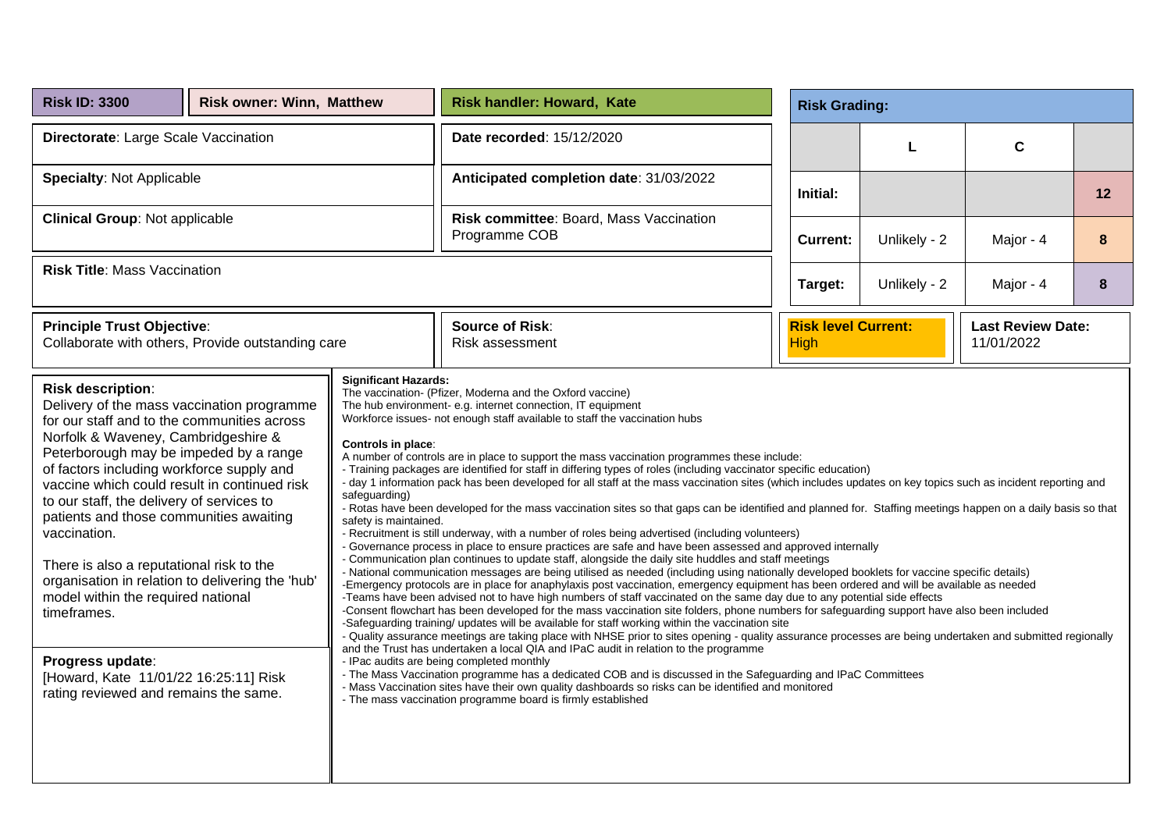| <b>Risk ID: 3300</b>                                                                                                                                                                                                                                                                                                                                                                                                                                                                                                                                                                                                                                                   | <b>Risk owner: Winn, Matthew</b> |                                                                                             | <b>Risk handler: Howard, Kate</b>                                                                                                                                                                                                                                                                                                                                                                                                                                                                                                                                                                                                                                                                                                                                                                                                                                                                                                                                                                                                                                                                                                                                                                                                                                                                                                                                                                                                                                                                                                                                                                                                                                                                                                                                                                                                                                                                                                                                                                                                                                                                                                                                                                                                                                                                                                                     | <b>Risk Grading:</b>                      |              |                                        |    |
|------------------------------------------------------------------------------------------------------------------------------------------------------------------------------------------------------------------------------------------------------------------------------------------------------------------------------------------------------------------------------------------------------------------------------------------------------------------------------------------------------------------------------------------------------------------------------------------------------------------------------------------------------------------------|----------------------------------|---------------------------------------------------------------------------------------------|-------------------------------------------------------------------------------------------------------------------------------------------------------------------------------------------------------------------------------------------------------------------------------------------------------------------------------------------------------------------------------------------------------------------------------------------------------------------------------------------------------------------------------------------------------------------------------------------------------------------------------------------------------------------------------------------------------------------------------------------------------------------------------------------------------------------------------------------------------------------------------------------------------------------------------------------------------------------------------------------------------------------------------------------------------------------------------------------------------------------------------------------------------------------------------------------------------------------------------------------------------------------------------------------------------------------------------------------------------------------------------------------------------------------------------------------------------------------------------------------------------------------------------------------------------------------------------------------------------------------------------------------------------------------------------------------------------------------------------------------------------------------------------------------------------------------------------------------------------------------------------------------------------------------------------------------------------------------------------------------------------------------------------------------------------------------------------------------------------------------------------------------------------------------------------------------------------------------------------------------------------------------------------------------------------------------------------------------------------|-------------------------------------------|--------------|----------------------------------------|----|
| Directorate: Large Scale Vaccination                                                                                                                                                                                                                                                                                                                                                                                                                                                                                                                                                                                                                                   |                                  |                                                                                             | Date recorded: 15/12/2020                                                                                                                                                                                                                                                                                                                                                                                                                                                                                                                                                                                                                                                                                                                                                                                                                                                                                                                                                                                                                                                                                                                                                                                                                                                                                                                                                                                                                                                                                                                                                                                                                                                                                                                                                                                                                                                                                                                                                                                                                                                                                                                                                                                                                                                                                                                             |                                           | L            | $\mathbf c$                            |    |
| <b>Specialty: Not Applicable</b>                                                                                                                                                                                                                                                                                                                                                                                                                                                                                                                                                                                                                                       |                                  |                                                                                             | Anticipated completion date: 31/03/2022                                                                                                                                                                                                                                                                                                                                                                                                                                                                                                                                                                                                                                                                                                                                                                                                                                                                                                                                                                                                                                                                                                                                                                                                                                                                                                                                                                                                                                                                                                                                                                                                                                                                                                                                                                                                                                                                                                                                                                                                                                                                                                                                                                                                                                                                                                               | Initial:                                  |              |                                        | 12 |
| <b>Clinical Group: Not applicable</b>                                                                                                                                                                                                                                                                                                                                                                                                                                                                                                                                                                                                                                  |                                  |                                                                                             | Risk committee: Board, Mass Vaccination<br>Programme COB                                                                                                                                                                                                                                                                                                                                                                                                                                                                                                                                                                                                                                                                                                                                                                                                                                                                                                                                                                                                                                                                                                                                                                                                                                                                                                                                                                                                                                                                                                                                                                                                                                                                                                                                                                                                                                                                                                                                                                                                                                                                                                                                                                                                                                                                                              | <b>Current:</b>                           | Unlikely - 2 | Major - 4                              | 8  |
| <b>Risk Title: Mass Vaccination</b>                                                                                                                                                                                                                                                                                                                                                                                                                                                                                                                                                                                                                                    |                                  |                                                                                             |                                                                                                                                                                                                                                                                                                                                                                                                                                                                                                                                                                                                                                                                                                                                                                                                                                                                                                                                                                                                                                                                                                                                                                                                                                                                                                                                                                                                                                                                                                                                                                                                                                                                                                                                                                                                                                                                                                                                                                                                                                                                                                                                                                                                                                                                                                                                                       | Target:                                   | Unlikely - 2 | Major - 4                              | 8  |
| <b>Principle Trust Objective:</b><br>Collaborate with others, Provide outstanding care                                                                                                                                                                                                                                                                                                                                                                                                                                                                                                                                                                                 |                                  |                                                                                             | <b>Source of Risk:</b><br>Risk assessment                                                                                                                                                                                                                                                                                                                                                                                                                                                                                                                                                                                                                                                                                                                                                                                                                                                                                                                                                                                                                                                                                                                                                                                                                                                                                                                                                                                                                                                                                                                                                                                                                                                                                                                                                                                                                                                                                                                                                                                                                                                                                                                                                                                                                                                                                                             | <b>Risk level Current:</b><br><b>High</b> |              | <b>Last Review Date:</b><br>11/01/2022 |    |
| <b>Risk description:</b><br>Delivery of the mass vaccination programme<br>for our staff and to the communities across<br>Norfolk & Waveney, Cambridgeshire &<br>Peterborough may be impeded by a range<br>of factors including workforce supply and<br>vaccine which could result in continued risk<br>to our staff, the delivery of services to<br>patients and those communities awaiting<br>vaccination.<br>There is also a reputational risk to the<br>organisation in relation to delivering the 'hub'<br>model within the required national<br>timeframes.<br>Progress update:<br>[Howard, Kate 11/01/22 16:25:11] Risk<br>rating reviewed and remains the same. |                                  | <b>Significant Hazards:</b><br>Controls in place:<br>safeguarding)<br>safety is maintained. | The vaccination- (Pfizer, Moderna and the Oxford vaccine)<br>The hub environment- e.g. internet connection, IT equipment<br>Workforce issues- not enough staff available to staff the vaccination hubs<br>A number of controls are in place to support the mass vaccination programmes these include:<br>- Training packages are identified for staff in differing types of roles (including vaccinator specific education)<br>- day 1 information pack has been developed for all staff at the mass vaccination sites (which includes updates on key topics such as incident reporting and<br>- Rotas have been developed for the mass vaccination sites so that gaps can be identified and planned for. Staffing meetings happen on a daily basis so that<br>- Recruitment is still underway, with a number of roles being advertised (including volunteers)<br>- Governance process in place to ensure practices are safe and have been assessed and approved internally<br>- Communication plan continues to update staff, alongside the daily site huddles and staff meetings<br>- National communication messages are being utilised as needed (including using nationally developed booklets for vaccine specific details)<br>-Emergency protocols are in place for anaphylaxis post vaccination, emergency equipment has been ordered and will be available as needed<br>-Teams have been advised not to have high numbers of staff vaccinated on the same day due to any potential side effects<br>-Consent flowchart has been developed for the mass vaccination site folders, phone numbers for safequarding support have also been included<br>-Safeguarding training/ updates will be available for staff working within the vaccination site<br>- Quality assurance meetings are taking place with NHSE prior to sites opening - quality assurance processes are being undertaken and submitted regionally<br>and the Trust has undertaken a local QIA and IPaC audit in relation to the programme<br>- IPac audits are being completed monthly<br>- The Mass Vaccination programme has a dedicated COB and is discussed in the Safeguarding and IPaC Committees<br>- Mass Vaccination sites have their own quality dashboards so risks can be identified and monitored<br>- The mass vaccination programme board is firmly established |                                           |              |                                        |    |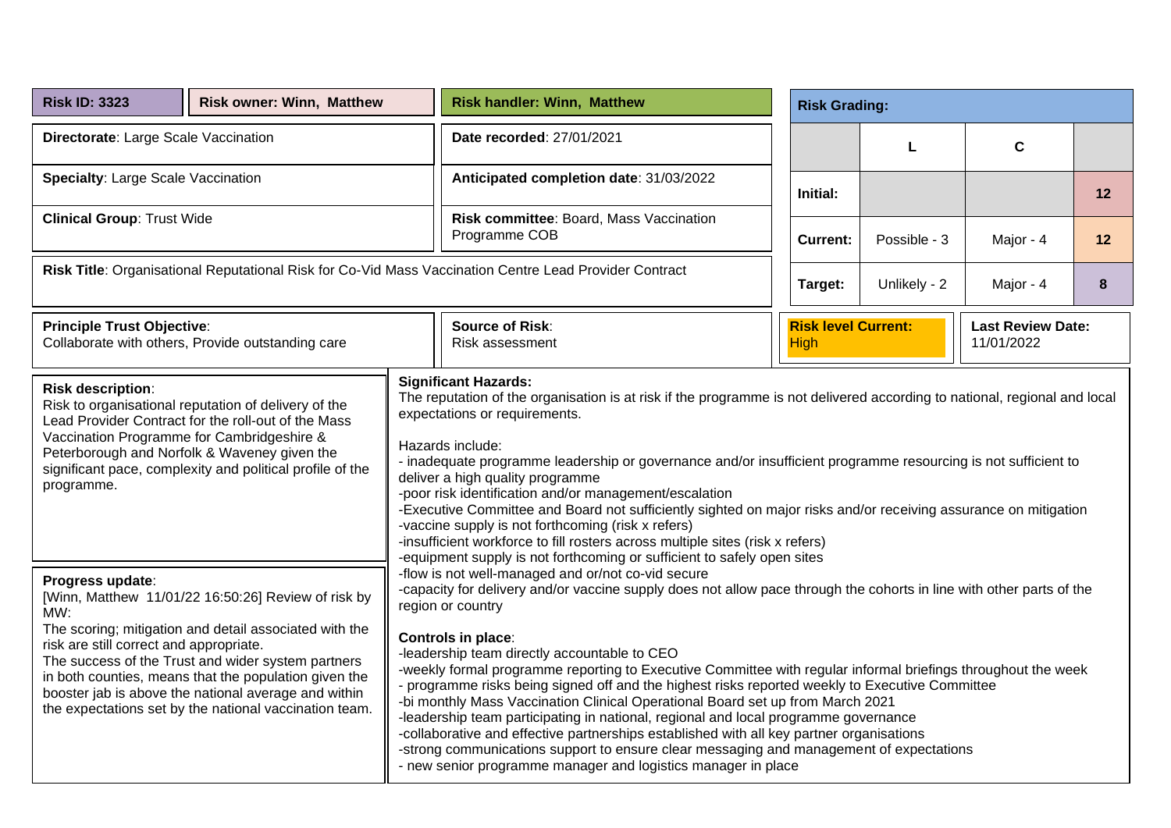| <b>Risk ID: 3323</b>                                                                                   | <b>Risk owner: Winn, Matthew</b>                                                                                                                                                                                                                                                                                                               |  | <b>Risk handler: Winn, Matthew</b>                                                                                                                                                                                                                                                                                                                                                                                                                                                                                                                                                                                                                                                                                                                                                                                                                                                                                                                                                                    |  | <b>Risk Grading:</b>                      |              |                                        |    |  |  |  |
|--------------------------------------------------------------------------------------------------------|------------------------------------------------------------------------------------------------------------------------------------------------------------------------------------------------------------------------------------------------------------------------------------------------------------------------------------------------|--|-------------------------------------------------------------------------------------------------------------------------------------------------------------------------------------------------------------------------------------------------------------------------------------------------------------------------------------------------------------------------------------------------------------------------------------------------------------------------------------------------------------------------------------------------------------------------------------------------------------------------------------------------------------------------------------------------------------------------------------------------------------------------------------------------------------------------------------------------------------------------------------------------------------------------------------------------------------------------------------------------------|--|-------------------------------------------|--------------|----------------------------------------|----|--|--|--|
| Directorate: Large Scale Vaccination                                                                   |                                                                                                                                                                                                                                                                                                                                                |  | Date recorded: 27/01/2021                                                                                                                                                                                                                                                                                                                                                                                                                                                                                                                                                                                                                                                                                                                                                                                                                                                                                                                                                                             |  |                                           | L            | C                                      |    |  |  |  |
| <b>Specialty: Large Scale Vaccination</b>                                                              |                                                                                                                                                                                                                                                                                                                                                |  | Anticipated completion date: 31/03/2022                                                                                                                                                                                                                                                                                                                                                                                                                                                                                                                                                                                                                                                                                                                                                                                                                                                                                                                                                               |  | Initial:                                  |              |                                        | 12 |  |  |  |
| <b>Clinical Group: Trust Wide</b>                                                                      |                                                                                                                                                                                                                                                                                                                                                |  | Risk committee: Board, Mass Vaccination<br>Programme COB                                                                                                                                                                                                                                                                                                                                                                                                                                                                                                                                                                                                                                                                                                                                                                                                                                                                                                                                              |  | <b>Current:</b>                           | Possible - 3 | Major - 4                              | 12 |  |  |  |
| Risk Title: Organisational Reputational Risk for Co-Vid Mass Vaccination Centre Lead Provider Contract |                                                                                                                                                                                                                                                                                                                                                |  |                                                                                                                                                                                                                                                                                                                                                                                                                                                                                                                                                                                                                                                                                                                                                                                                                                                                                                                                                                                                       |  | Target:                                   | Unlikely - 2 | Major - 4                              | 8  |  |  |  |
| <b>Principle Trust Objective:</b><br>Collaborate with others, Provide outstanding care                 |                                                                                                                                                                                                                                                                                                                                                |  | <b>Source of Risk:</b><br>Risk assessment                                                                                                                                                                                                                                                                                                                                                                                                                                                                                                                                                                                                                                                                                                                                                                                                                                                                                                                                                             |  | <b>Risk level Current:</b><br><b>High</b> |              | <b>Last Review Date:</b><br>11/01/2022 |    |  |  |  |
| Risk description:<br>Vaccination Programme for Cambridgeshire &<br>programme.                          | Risk to organisational reputation of delivery of the<br>Lead Provider Contract for the roll-out of the Mass<br>Peterborough and Norfolk & Waveney given the<br>significant pace, complexity and political profile of the                                                                                                                       |  | <b>Significant Hazards:</b><br>The reputation of the organisation is at risk if the programme is not delivered according to national, regional and local<br>expectations or requirements.<br>Hazards include:<br>- inadequate programme leadership or governance and/or insufficient programme resourcing is not sufficient to<br>deliver a high quality programme<br>-poor risk identification and/or management/escalation<br>-Executive Committee and Board not sufficiently sighted on major risks and/or receiving assurance on mitigation<br>-vaccine supply is not forthcoming (risk x refers)<br>-insufficient workforce to fill rosters across multiple sites (risk x refers)                                                                                                                                                                                                                                                                                                                |  |                                           |              |                                        |    |  |  |  |
| Progress update:<br>MW:<br>risk are still correct and appropriate.                                     | [Winn, Matthew 11/01/22 16:50:26] Review of risk by<br>The scoring; mitigation and detail associated with the<br>The success of the Trust and wider system partners<br>in both counties, means that the population given the<br>booster jab is above the national average and within<br>the expectations set by the national vaccination team. |  | -equipment supply is not forthcoming or sufficient to safely open sites<br>-flow is not well-managed and or/not co-vid secure<br>-capacity for delivery and/or vaccine supply does not allow pace through the cohorts in line with other parts of the<br>region or country<br>Controls in place:<br>-leadership team directly accountable to CEO<br>-weekly formal programme reporting to Executive Committee with regular informal briefings throughout the week<br>- programme risks being signed off and the highest risks reported weekly to Executive Committee<br>-bi monthly Mass Vaccination Clinical Operational Board set up from March 2021<br>-leadership team participating in national, regional and local programme governance<br>-collaborative and effective partnerships established with all key partner organisations<br>-strong communications support to ensure clear messaging and management of expectations<br>- new senior programme manager and logistics manager in place |  |                                           |              |                                        |    |  |  |  |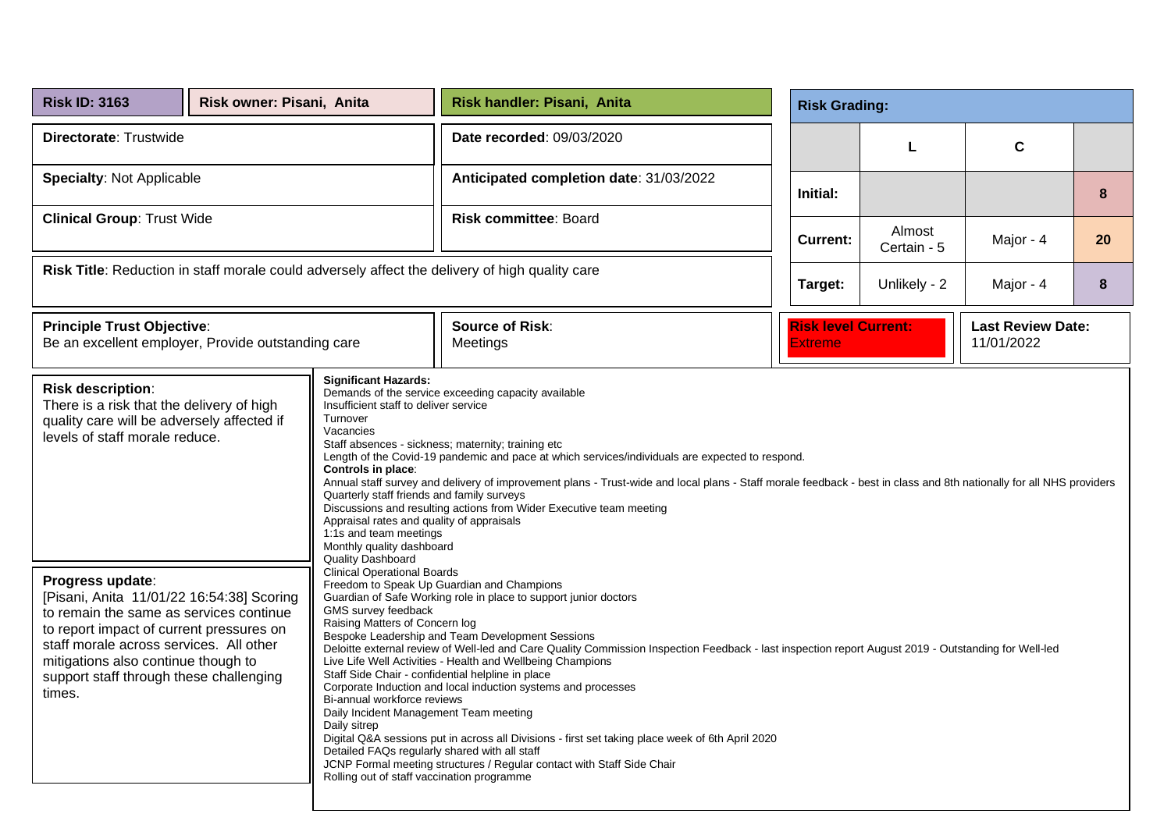| <b>Risk ID: 3163</b>                                                                                                                                                                                                                                                                                                                                                                                                                                                                                                                                                                                                                                                                                                                                                                                                                                                                         | Risk owner: Pisani, Anita |                                                                                                                                                                                                                                                                                                                                                               | Risk handler: Pisani, Anita                                                                                                                                                                                                                                                                                                                                                                                                                                                                                                                                                                                                             |  | <b>Risk Grading:</b>                  |                       |                                        |    |
|----------------------------------------------------------------------------------------------------------------------------------------------------------------------------------------------------------------------------------------------------------------------------------------------------------------------------------------------------------------------------------------------------------------------------------------------------------------------------------------------------------------------------------------------------------------------------------------------------------------------------------------------------------------------------------------------------------------------------------------------------------------------------------------------------------------------------------------------------------------------------------------------|---------------------------|---------------------------------------------------------------------------------------------------------------------------------------------------------------------------------------------------------------------------------------------------------------------------------------------------------------------------------------------------------------|-----------------------------------------------------------------------------------------------------------------------------------------------------------------------------------------------------------------------------------------------------------------------------------------------------------------------------------------------------------------------------------------------------------------------------------------------------------------------------------------------------------------------------------------------------------------------------------------------------------------------------------------|--|---------------------------------------|-----------------------|----------------------------------------|----|
| Directorate: Trustwide                                                                                                                                                                                                                                                                                                                                                                                                                                                                                                                                                                                                                                                                                                                                                                                                                                                                       |                           |                                                                                                                                                                                                                                                                                                                                                               | Date recorded: 09/03/2020                                                                                                                                                                                                                                                                                                                                                                                                                                                                                                                                                                                                               |  |                                       | L                     | $\mathbf c$                            |    |
| <b>Specialty: Not Applicable</b>                                                                                                                                                                                                                                                                                                                                                                                                                                                                                                                                                                                                                                                                                                                                                                                                                                                             |                           |                                                                                                                                                                                                                                                                                                                                                               | Anticipated completion date: 31/03/2022                                                                                                                                                                                                                                                                                                                                                                                                                                                                                                                                                                                                 |  | Initial:                              |                       |                                        | 8  |
| <b>Clinical Group: Trust Wide</b>                                                                                                                                                                                                                                                                                                                                                                                                                                                                                                                                                                                                                                                                                                                                                                                                                                                            |                           |                                                                                                                                                                                                                                                                                                                                                               | Risk committee: Board                                                                                                                                                                                                                                                                                                                                                                                                                                                                                                                                                                                                                   |  | <b>Current:</b>                       | Almost<br>Certain - 5 | Major - 4                              | 20 |
| Risk Title: Reduction in staff morale could adversely affect the delivery of high quality care                                                                                                                                                                                                                                                                                                                                                                                                                                                                                                                                                                                                                                                                                                                                                                                               |                           |                                                                                                                                                                                                                                                                                                                                                               |                                                                                                                                                                                                                                                                                                                                                                                                                                                                                                                                                                                                                                         |  | Target:                               | Unlikely - 2          | Major - 4                              | 8  |
| <b>Principle Trust Objective:</b><br>Be an excellent employer, Provide outstanding care                                                                                                                                                                                                                                                                                                                                                                                                                                                                                                                                                                                                                                                                                                                                                                                                      |                           |                                                                                                                                                                                                                                                                                                                                                               | <b>Source of Risk:</b><br>Meetings                                                                                                                                                                                                                                                                                                                                                                                                                                                                                                                                                                                                      |  | <b>Risk level Current:</b><br>Extreme |                       | <b>Last Review Date:</b><br>11/01/2022 |    |
| <b>Significant Hazards:</b><br><b>Risk description:</b><br>Demands of the service exceeding capacity available<br>There is a risk that the delivery of high<br>Insufficient staff to deliver service<br>Turnover<br>quality care will be adversely affected if<br>Vacancies<br>levels of staff morale reduce.<br>Staff absences - sickness; maternity; training etc<br>Length of the Covid-19 pandemic and pace at which services/individuals are expected to respond.<br>Controls in place:<br>Annual staff survey and delivery of improvement plans - Trust-wide and local plans - Staff morale feedback - best in class and 8th nationally for all NHS providers<br>Quarterly staff friends and family surveys<br>Discussions and resulting actions from Wider Executive team meeting<br>Appraisal rates and quality of appraisals<br>1:1s and team meetings<br>Monthly quality dashboard |                           |                                                                                                                                                                                                                                                                                                                                                               |                                                                                                                                                                                                                                                                                                                                                                                                                                                                                                                                                                                                                                         |  |                                       |                       |                                        |    |
| Progress update:<br>[Pisani, Anita 11/01/22 16:54:38] Scoring<br>to remain the same as services continue<br>to report impact of current pressures on<br>staff morale across services. All other<br>mitigations also continue though to<br>support staff through these challenging<br>times.                                                                                                                                                                                                                                                                                                                                                                                                                                                                                                                                                                                                  |                           | Quality Dashboard<br><b>Clinical Operational Boards</b><br>GMS survey feedback<br>Raising Matters of Concern log<br>Staff Side Chair - confidential helpline in place<br>Bi-annual workforce reviews<br>Daily Incident Management Team meeting<br>Daily sitrep<br>Detailed FAQs regularly shared with all staff<br>Rolling out of staff vaccination programme | Freedom to Speak Up Guardian and Champions<br>Guardian of Safe Working role in place to support junior doctors<br>Bespoke Leadership and Team Development Sessions<br>Deloitte external review of Well-led and Care Quality Commission Inspection Feedback - last inspection report August 2019 - Outstanding for Well-led<br>Live Life Well Activities - Health and Wellbeing Champions<br>Corporate Induction and local induction systems and processes<br>Digital Q&A sessions put in across all Divisions - first set taking place week of 6th April 2020<br>JCNP Formal meeting structures / Regular contact with Staff Side Chair |  |                                       |                       |                                        |    |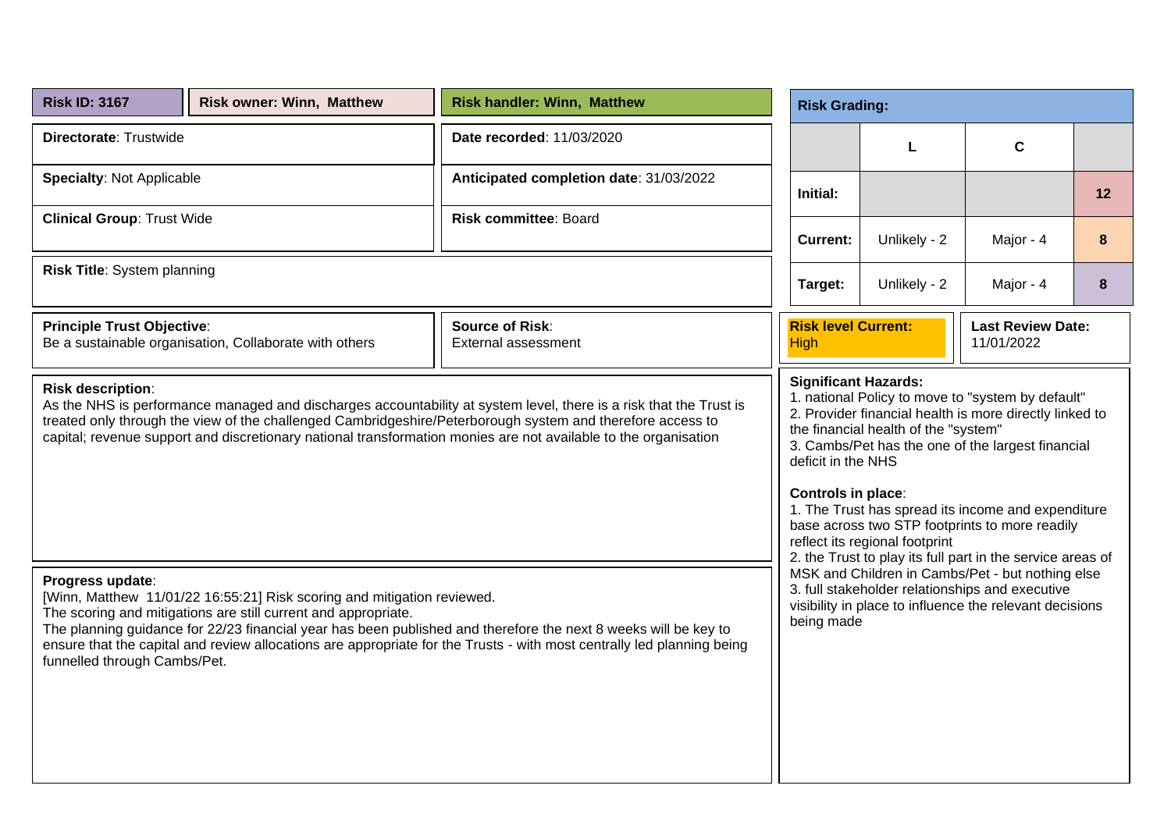| <b>Risk ID: 3167</b>                                                                                                                                                                                                                                                                                                                                                     | <b>Risk owner: Winn, Matthew</b>                                                                                                          | <b>Risk handler: Winn, Matthew</b>                                                                                                                                                                                                        | <b>Risk Grading:</b>                      |                                                                                                                                                                                                                                                                                                                                                                                                                                                                                                                   |                                                                                                            |    |  |  |  |
|--------------------------------------------------------------------------------------------------------------------------------------------------------------------------------------------------------------------------------------------------------------------------------------------------------------------------------------------------------------------------|-------------------------------------------------------------------------------------------------------------------------------------------|-------------------------------------------------------------------------------------------------------------------------------------------------------------------------------------------------------------------------------------------|-------------------------------------------|-------------------------------------------------------------------------------------------------------------------------------------------------------------------------------------------------------------------------------------------------------------------------------------------------------------------------------------------------------------------------------------------------------------------------------------------------------------------------------------------------------------------|------------------------------------------------------------------------------------------------------------|----|--|--|--|
| Directorate: Trustwide                                                                                                                                                                                                                                                                                                                                                   |                                                                                                                                           | Date recorded: 11/03/2020                                                                                                                                                                                                                 |                                           | L                                                                                                                                                                                                                                                                                                                                                                                                                                                                                                                 | $\mathbf c$                                                                                                |    |  |  |  |
| <b>Specialty: Not Applicable</b>                                                                                                                                                                                                                                                                                                                                         |                                                                                                                                           | Anticipated completion date: 31/03/2022                                                                                                                                                                                                   | Initial:                                  |                                                                                                                                                                                                                                                                                                                                                                                                                                                                                                                   |                                                                                                            | 12 |  |  |  |
| <b>Clinical Group: Trust Wide</b>                                                                                                                                                                                                                                                                                                                                        |                                                                                                                                           | <b>Risk committee: Board</b>                                                                                                                                                                                                              | <b>Current:</b>                           | Unlikely - 2                                                                                                                                                                                                                                                                                                                                                                                                                                                                                                      | Major - 4                                                                                                  | 8  |  |  |  |
| Risk Title: System planning                                                                                                                                                                                                                                                                                                                                              |                                                                                                                                           |                                                                                                                                                                                                                                           | Unlikely - 2<br>Target:<br>Major - 4      |                                                                                                                                                                                                                                                                                                                                                                                                                                                                                                                   |                                                                                                            | 8  |  |  |  |
| <b>Principle Trust Objective:</b>                                                                                                                                                                                                                                                                                                                                        | Be a sustainable organisation, Collaborate with others                                                                                    | <b>Source of Risk:</b><br><b>External assessment</b>                                                                                                                                                                                      | <b>Risk level Current:</b><br><b>High</b> |                                                                                                                                                                                                                                                                                                                                                                                                                                                                                                                   | <b>Last Review Date:</b><br>11/01/2022                                                                     |    |  |  |  |
| Risk description:<br>As the NHS is performance managed and discharges accountability at system level, there is a risk that the Trust is<br>treated only through the view of the challenged Cambridgeshire/Peterborough system and therefore access to<br>capital; revenue support and discretionary national transformation monies are not available to the organisation |                                                                                                                                           |                                                                                                                                                                                                                                           |                                           | 1. national Policy to move to "system by default"<br>2. Provider financial health is more directly linked to<br>the financial health of the "system"<br>3. Cambs/Pet has the one of the largest financial<br>deficit in the NHS<br>Controls in place:<br>1. The Trust has spread its income and expenditure<br>base across two STP footprints to more readily<br>reflect its regional footprint<br>2. the Trust to play its full part in the service areas of<br>MSK and Children in Cambs/Pet - but nothing else |                                                                                                            |    |  |  |  |
| Progress update:<br>funnelled through Cambs/Pet.                                                                                                                                                                                                                                                                                                                         | [Winn, Matthew 11/01/22 16:55:21] Risk scoring and mitigation reviewed.<br>The scoring and mitigations are still current and appropriate. | The planning guidance for 22/23 financial year has been published and therefore the next 8 weeks will be key to<br>ensure that the capital and review allocations are appropriate for the Trusts - with most centrally led planning being | being made                                |                                                                                                                                                                                                                                                                                                                                                                                                                                                                                                                   | 3. full stakeholder relationships and executive<br>visibility in place to influence the relevant decisions |    |  |  |  |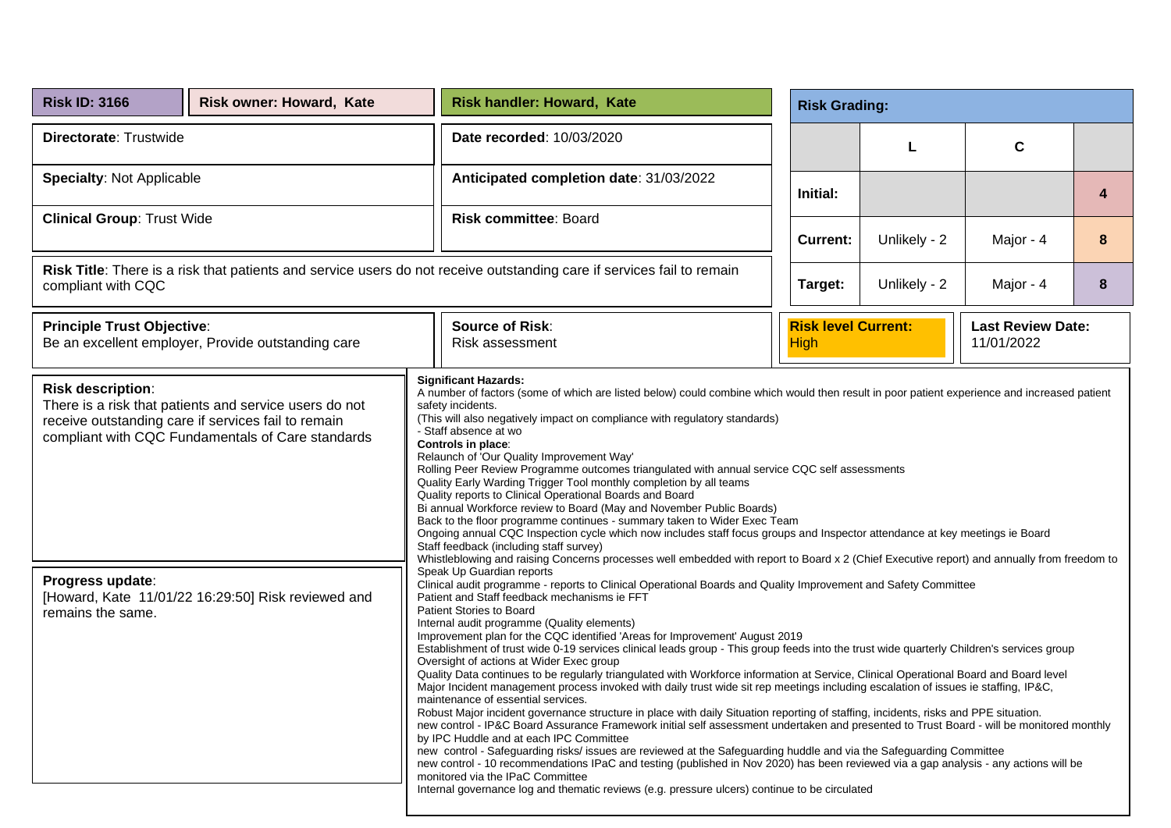| <b>Risk ID: 3166</b>                                                                                                                                                                                                                                                                                                                                                                                                                                                                                                                                                                                                                                                                                                                                                                                                                                                                                                                                                                                                                                                                                                                                                                                                                                                                                                                                                                                                                                                                                                                                                                                                                                                                                                                                                                                                                               | Risk owner: Howard, Kate                                                                                                                                                                                                                                                                                                                                                                                                                                                                                                                                                                                                                                                                                                                                                                                                                                                                                                                                                                                                                                                                                        |  | <b>Risk handler: Howard, Kate</b>         | <b>Risk Grading:</b>    |                                           |              |                                        |   |  |  |  |
|----------------------------------------------------------------------------------------------------------------------------------------------------------------------------------------------------------------------------------------------------------------------------------------------------------------------------------------------------------------------------------------------------------------------------------------------------------------------------------------------------------------------------------------------------------------------------------------------------------------------------------------------------------------------------------------------------------------------------------------------------------------------------------------------------------------------------------------------------------------------------------------------------------------------------------------------------------------------------------------------------------------------------------------------------------------------------------------------------------------------------------------------------------------------------------------------------------------------------------------------------------------------------------------------------------------------------------------------------------------------------------------------------------------------------------------------------------------------------------------------------------------------------------------------------------------------------------------------------------------------------------------------------------------------------------------------------------------------------------------------------------------------------------------------------------------------------------------------------|-----------------------------------------------------------------------------------------------------------------------------------------------------------------------------------------------------------------------------------------------------------------------------------------------------------------------------------------------------------------------------------------------------------------------------------------------------------------------------------------------------------------------------------------------------------------------------------------------------------------------------------------------------------------------------------------------------------------------------------------------------------------------------------------------------------------------------------------------------------------------------------------------------------------------------------------------------------------------------------------------------------------------------------------------------------------------------------------------------------------|--|-------------------------------------------|-------------------------|-------------------------------------------|--------------|----------------------------------------|---|--|--|--|
| Directorate: Trustwide                                                                                                                                                                                                                                                                                                                                                                                                                                                                                                                                                                                                                                                                                                                                                                                                                                                                                                                                                                                                                                                                                                                                                                                                                                                                                                                                                                                                                                                                                                                                                                                                                                                                                                                                                                                                                             |                                                                                                                                                                                                                                                                                                                                                                                                                                                                                                                                                                                                                                                                                                                                                                                                                                                                                                                                                                                                                                                                                                                 |  | Date recorded: 10/03/2020                 |                         |                                           | L            | $\mathbf c$                            |   |  |  |  |
| <b>Specialty: Not Applicable</b>                                                                                                                                                                                                                                                                                                                                                                                                                                                                                                                                                                                                                                                                                                                                                                                                                                                                                                                                                                                                                                                                                                                                                                                                                                                                                                                                                                                                                                                                                                                                                                                                                                                                                                                                                                                                                   |                                                                                                                                                                                                                                                                                                                                                                                                                                                                                                                                                                                                                                                                                                                                                                                                                                                                                                                                                                                                                                                                                                                 |  | Anticipated completion date: 31/03/2022   |                         | Initial:                                  |              |                                        | 4 |  |  |  |
| <b>Clinical Group: Trust Wide</b>                                                                                                                                                                                                                                                                                                                                                                                                                                                                                                                                                                                                                                                                                                                                                                                                                                                                                                                                                                                                                                                                                                                                                                                                                                                                                                                                                                                                                                                                                                                                                                                                                                                                                                                                                                                                                  |                                                                                                                                                                                                                                                                                                                                                                                                                                                                                                                                                                                                                                                                                                                                                                                                                                                                                                                                                                                                                                                                                                                 |  | <b>Risk committee: Board</b>              |                         | <b>Current:</b>                           | Unlikely - 2 | Major - 4                              | 8 |  |  |  |
| Risk Title: There is a risk that patients and service users do not receive outstanding care if services fail to remain<br>compliant with CQC                                                                                                                                                                                                                                                                                                                                                                                                                                                                                                                                                                                                                                                                                                                                                                                                                                                                                                                                                                                                                                                                                                                                                                                                                                                                                                                                                                                                                                                                                                                                                                                                                                                                                                       |                                                                                                                                                                                                                                                                                                                                                                                                                                                                                                                                                                                                                                                                                                                                                                                                                                                                                                                                                                                                                                                                                                                 |  |                                           | Unlikely - 2<br>Target: |                                           |              | Major - 4                              | 8 |  |  |  |
| <b>Principle Trust Objective:</b>                                                                                                                                                                                                                                                                                                                                                                                                                                                                                                                                                                                                                                                                                                                                                                                                                                                                                                                                                                                                                                                                                                                                                                                                                                                                                                                                                                                                                                                                                                                                                                                                                                                                                                                                                                                                                  | Be an excellent employer, Provide outstanding care                                                                                                                                                                                                                                                                                                                                                                                                                                                                                                                                                                                                                                                                                                                                                                                                                                                                                                                                                                                                                                                              |  | <b>Source of Risk:</b><br>Risk assessment |                         | <b>Risk level Current:</b><br><b>High</b> |              | <b>Last Review Date:</b><br>11/01/2022 |   |  |  |  |
| Risk description:                                                                                                                                                                                                                                                                                                                                                                                                                                                                                                                                                                                                                                                                                                                                                                                                                                                                                                                                                                                                                                                                                                                                                                                                                                                                                                                                                                                                                                                                                                                                                                                                                                                                                                                                                                                                                                  | <b>Significant Hazards:</b><br>A number of factors (some of which are listed below) could combine which would then result in poor patient experience and increased patient<br>There is a risk that patients and service users do not<br>safety incidents.<br>(This will also negatively impact on compliance with regulatory standards)<br>receive outstanding care if services fail to remain<br>- Staff absence at wo<br>compliant with CQC Fundamentals of Care standards<br>Controls in place:<br>Relaunch of 'Our Quality Improvement Way'<br>Rolling Peer Review Programme outcomes triangulated with annual service CQC self assessments<br>Quality Early Warding Trigger Tool monthly completion by all teams<br>Quality reports to Clinical Operational Boards and Board<br>Bi annual Workforce review to Board (May and November Public Boards)<br>Back to the floor programme continues - summary taken to Wider Exec Team<br>Ongoing annual CQC Inspection cycle which now includes staff focus groups and Inspector attendance at key meetings ie Board<br>Staff feedback (including staff survey) |  |                                           |                         |                                           |              |                                        |   |  |  |  |
| Whistleblowing and raising Concerns processes well embedded with report to Board x 2 (Chief Executive report) and annually from freedom to<br>Speak Up Guardian reports<br>Progress update:<br>Clinical audit programme - reports to Clinical Operational Boards and Quality Improvement and Safety Committee<br>[Howard, Kate 11/01/22 16:29:50] Risk reviewed and<br>Patient and Staff feedback mechanisms ie FFT<br>Patient Stories to Board<br>remains the same.<br>Internal audit programme (Quality elements)<br>Improvement plan for the CQC identified 'Areas for Improvement' August 2019<br>Establishment of trust wide 0-19 services clinical leads group - This group feeds into the trust wide quarterly Children's services group<br>Oversight of actions at Wider Exec group<br>Quality Data continues to be regularly triangulated with Workforce information at Service, Clinical Operational Board and Board level<br>Major Incident management process invoked with daily trust wide sit rep meetings including escalation of issues ie staffing, IP&C,<br>maintenance of essential services.<br>Robust Major incident governance structure in place with daily Situation reporting of staffing, incidents, risks and PPE situation.<br>new control - IP&C Board Assurance Framework initial self assessment undertaken and presented to Trust Board - will be monitored monthly<br>by IPC Huddle and at each IPC Committee<br>new control - Safeguarding risks/ issues are reviewed at the Safeguarding huddle and via the Safeguarding Committee<br>new control - 10 recommendations IPaC and testing (published in Nov 2020) has been reviewed via a gap analysis - any actions will be<br>monitored via the IPaC Committee<br>Internal governance log and thematic reviews (e.g. pressure ulcers) continue to be circulated |                                                                                                                                                                                                                                                                                                                                                                                                                                                                                                                                                                                                                                                                                                                                                                                                                                                                                                                                                                                                                                                                                                                 |  |                                           |                         |                                           |              |                                        |   |  |  |  |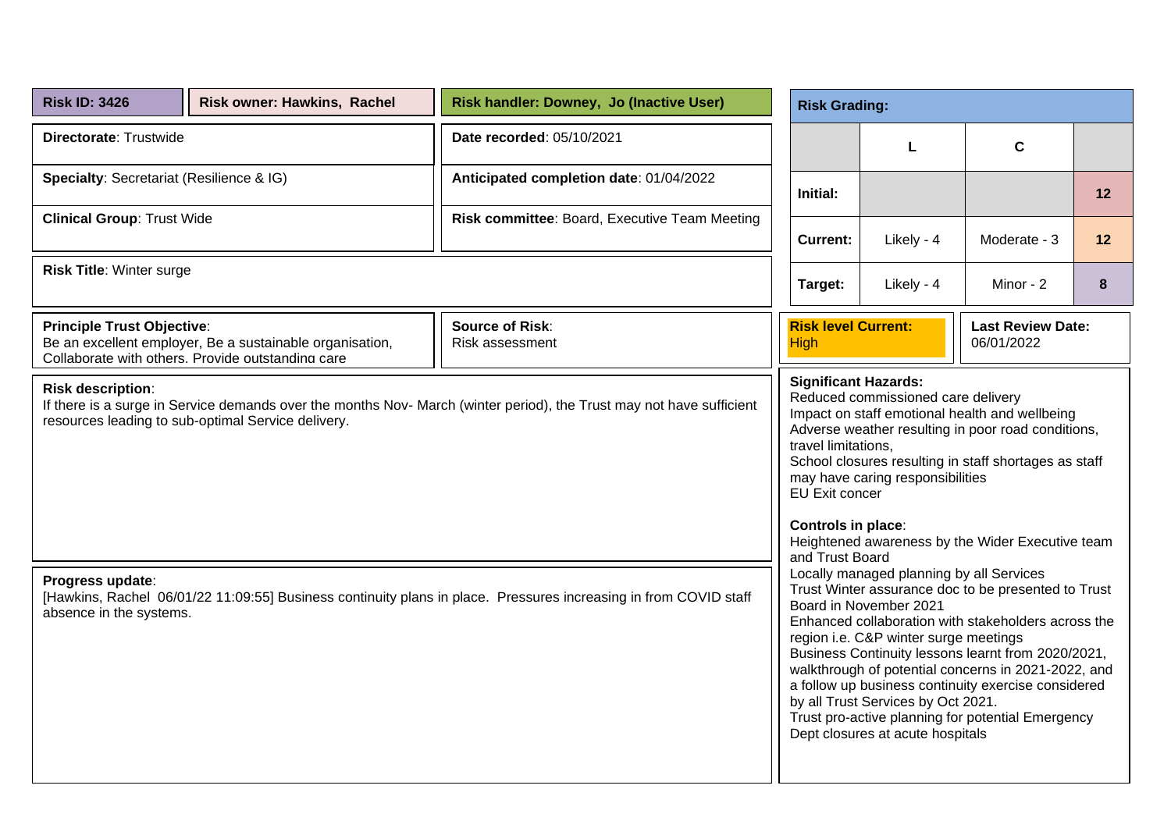| <b>Risk ID: 3426</b>                                                                                                                                                                                  | <b>Risk owner: Hawkins, Rachel</b>                                                                            | Risk handler: Downey, Jo (Inactive User)                                                                         |                                           | <b>Risk Grading:</b>                                                                                                                                                                    |                                                                                                                                                                                                                                                                                                                                     |    |  |  |  |
|-------------------------------------------------------------------------------------------------------------------------------------------------------------------------------------------------------|---------------------------------------------------------------------------------------------------------------|------------------------------------------------------------------------------------------------------------------|-------------------------------------------|-----------------------------------------------------------------------------------------------------------------------------------------------------------------------------------------|-------------------------------------------------------------------------------------------------------------------------------------------------------------------------------------------------------------------------------------------------------------------------------------------------------------------------------------|----|--|--|--|
| Directorate: Trustwide                                                                                                                                                                                |                                                                                                               | Date recorded: 05/10/2021                                                                                        |                                           | L                                                                                                                                                                                       | $\mathbf c$                                                                                                                                                                                                                                                                                                                         |    |  |  |  |
| Specialty: Secretariat (Resilience & IG)                                                                                                                                                              |                                                                                                               | Anticipated completion date: 01/04/2022                                                                          | Initial:                                  |                                                                                                                                                                                         |                                                                                                                                                                                                                                                                                                                                     | 12 |  |  |  |
| <b>Clinical Group: Trust Wide</b>                                                                                                                                                                     |                                                                                                               | Risk committee: Board, Executive Team Meeting                                                                    | <b>Current:</b>                           | Likely - 4                                                                                                                                                                              | Moderate - 3                                                                                                                                                                                                                                                                                                                        | 12 |  |  |  |
| <b>Risk Title: Winter surge</b>                                                                                                                                                                       |                                                                                                               |                                                                                                                  | Likely - 4<br>Target:<br>Minor - 2        |                                                                                                                                                                                         |                                                                                                                                                                                                                                                                                                                                     | 8  |  |  |  |
| <b>Principle Trust Objective:</b>                                                                                                                                                                     | Be an excellent employer, Be a sustainable organisation,<br>Collaborate with others. Provide outstanding care | <b>Source of Risk:</b><br>Risk assessment                                                                        | <b>Risk level Current:</b><br><b>High</b> |                                                                                                                                                                                         | <b>Last Review Date:</b><br>06/01/2022                                                                                                                                                                                                                                                                                              |    |  |  |  |
| <b>Risk description:</b><br>If there is a surge in Service demands over the months Nov-March (winter period), the Trust may not have sufficient<br>resources leading to sub-optimal Service delivery. |                                                                                                               |                                                                                                                  |                                           | <b>Significant Hazards:</b><br>Reduced commissioned care delivery<br>travel limitations,<br>may have caring responsibilities<br>EU Exit concer<br>Controls in place:<br>and Trust Board | Impact on staff emotional health and wellbeing<br>Adverse weather resulting in poor road conditions,<br>School closures resulting in staff shortages as staff<br>Heightened awareness by the Wider Executive team                                                                                                                   |    |  |  |  |
| Progress update:<br>absence in the systems.                                                                                                                                                           |                                                                                                               | [Hawkins, Rachel 06/01/22 11:09:55] Business continuity plans in place. Pressures increasing in from COVID staff |                                           | Locally managed planning by all Services<br>Board in November 2021<br>region i.e. C&P winter surge meetings<br>by all Trust Services by Oct 2021.<br>Dept closures at acute hospitals   | Trust Winter assurance doc to be presented to Trust<br>Enhanced collaboration with stakeholders across the<br>Business Continuity lessons learnt from 2020/2021,<br>walkthrough of potential concerns in 2021-2022, and<br>a follow up business continuity exercise considered<br>Trust pro-active planning for potential Emergency |    |  |  |  |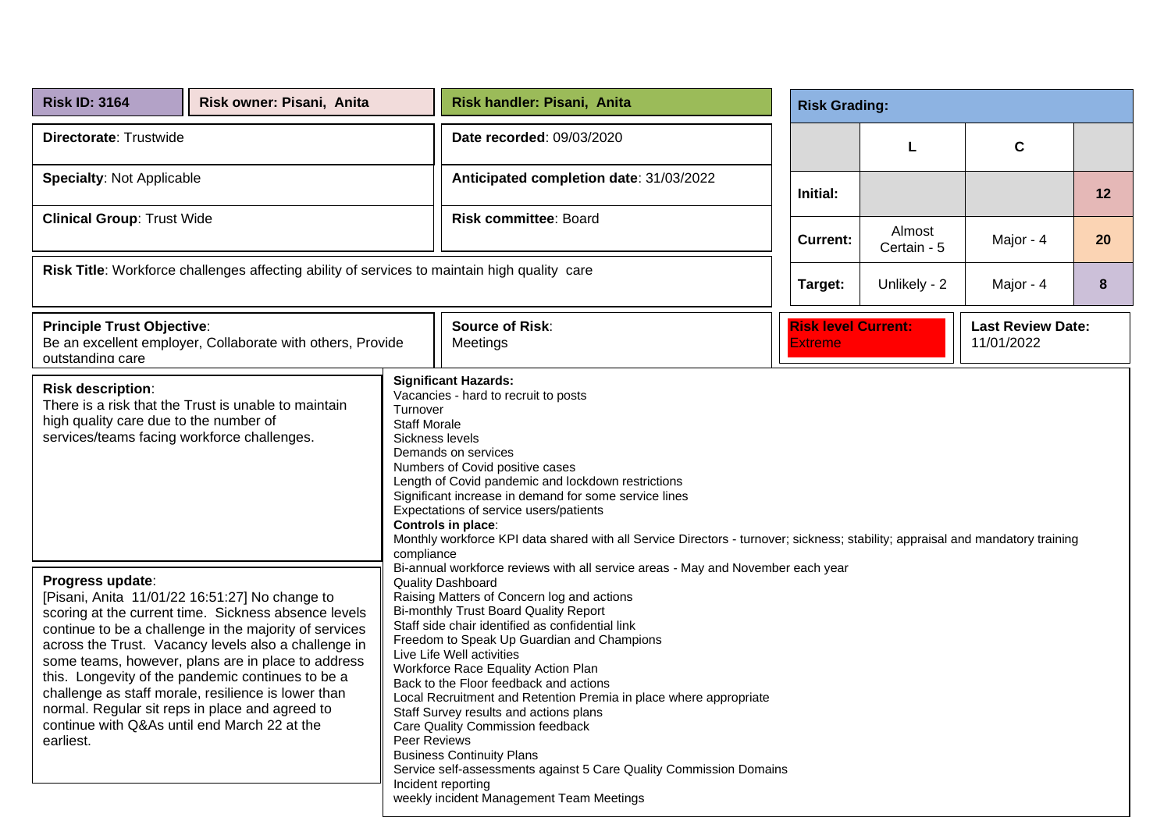| <b>Risk ID: 3164</b>                                                                                                             | Risk owner: Pisani, Anita                                                                                                                                                                                                                                                                                                                                                                  |                                                                  | Risk handler: Pisani, Anita                                                                                                                                                                                                                                                                                                                                                                                                                                                                                                                                                                                                                                                                                                                              | <b>Risk Grading:</b> |                            |                                        |         |
|----------------------------------------------------------------------------------------------------------------------------------|--------------------------------------------------------------------------------------------------------------------------------------------------------------------------------------------------------------------------------------------------------------------------------------------------------------------------------------------------------------------------------------------|------------------------------------------------------------------|----------------------------------------------------------------------------------------------------------------------------------------------------------------------------------------------------------------------------------------------------------------------------------------------------------------------------------------------------------------------------------------------------------------------------------------------------------------------------------------------------------------------------------------------------------------------------------------------------------------------------------------------------------------------------------------------------------------------------------------------------------|----------------------|----------------------------|----------------------------------------|---------|
| Directorate: Trustwide                                                                                                           |                                                                                                                                                                                                                                                                                                                                                                                            |                                                                  | Date recorded: 09/03/2020                                                                                                                                                                                                                                                                                                                                                                                                                                                                                                                                                                                                                                                                                                                                |                      | L                          | $\mathbf c$                            |         |
| <b>Specialty: Not Applicable</b>                                                                                                 |                                                                                                                                                                                                                                                                                                                                                                                            |                                                                  | Anticipated completion date: 31/03/2022                                                                                                                                                                                                                                                                                                                                                                                                                                                                                                                                                                                                                                                                                                                  | Initial:             |                            |                                        | $12 \,$ |
| <b>Clinical Group: Trust Wide</b>                                                                                                |                                                                                                                                                                                                                                                                                                                                                                                            |                                                                  | <b>Risk committee: Board</b>                                                                                                                                                                                                                                                                                                                                                                                                                                                                                                                                                                                                                                                                                                                             | <b>Current:</b>      | Almost<br>Certain - 5      | Major - 4                              | 20      |
| Risk Title: Workforce challenges affecting ability of services to maintain high quality care                                     |                                                                                                                                                                                                                                                                                                                                                                                            |                                                                  |                                                                                                                                                                                                                                                                                                                                                                                                                                                                                                                                                                                                                                                                                                                                                          | Target:              | Unlikely - 2               | Major - 4                              | 8       |
| <b>Principle Trust Objective:</b><br>Be an excellent employer, Collaborate with others, Provide<br>outstanding care              |                                                                                                                                                                                                                                                                                                                                                                                            |                                                                  | <b>Source of Risk:</b><br>Meetings                                                                                                                                                                                                                                                                                                                                                                                                                                                                                                                                                                                                                                                                                                                       | <b>Extreme</b>       | <b>Risk level Current:</b> | <b>Last Review Date:</b><br>11/01/2022 |         |
| <b>Risk description:</b><br>high quality care due to the number of<br>services/teams facing workforce challenges.                | There is a risk that the Trust is unable to maintain                                                                                                                                                                                                                                                                                                                                       | Turnover<br><b>Staff Morale</b><br>Sickness levels<br>compliance | <b>Significant Hazards:</b><br>Vacancies - hard to recruit to posts<br>Demands on services<br>Numbers of Covid positive cases<br>Length of Covid pandemic and lockdown restrictions<br>Significant increase in demand for some service lines<br>Expectations of service users/patients<br>Controls in place:<br>Monthly workforce KPI data shared with all Service Directors - turnover; sickness; stability; appraisal and mandatory training                                                                                                                                                                                                                                                                                                           |                      |                            |                                        |         |
| Progress update:<br>normal. Regular sit reps in place and agreed to<br>continue with Q&As until end March 22 at the<br>earliest. | [Pisani, Anita 11/01/22 16:51:27] No change to<br>scoring at the current time. Sickness absence levels<br>continue to be a challenge in the majority of services<br>across the Trust. Vacancy levels also a challenge in<br>some teams, however, plans are in place to address<br>this. Longevity of the pandemic continues to be a<br>challenge as staff morale, resilience is lower than | Peer Reviews                                                     | Bi-annual workforce reviews with all service areas - May and November each year<br><b>Quality Dashboard</b><br>Raising Matters of Concern log and actions<br><b>Bi-monthly Trust Board Quality Report</b><br>Staff side chair identified as confidential link<br>Freedom to Speak Up Guardian and Champions<br>Live Life Well activities<br>Workforce Race Equality Action Plan<br>Back to the Floor feedback and actions<br>Local Recruitment and Retention Premia in place where appropriate<br>Staff Survey results and actions plans<br>Care Quality Commission feedback<br><b>Business Continuity Plans</b><br>Service self-assessments against 5 Care Quality Commission Domains<br>Incident reporting<br>weekly incident Management Team Meetings |                      |                            |                                        |         |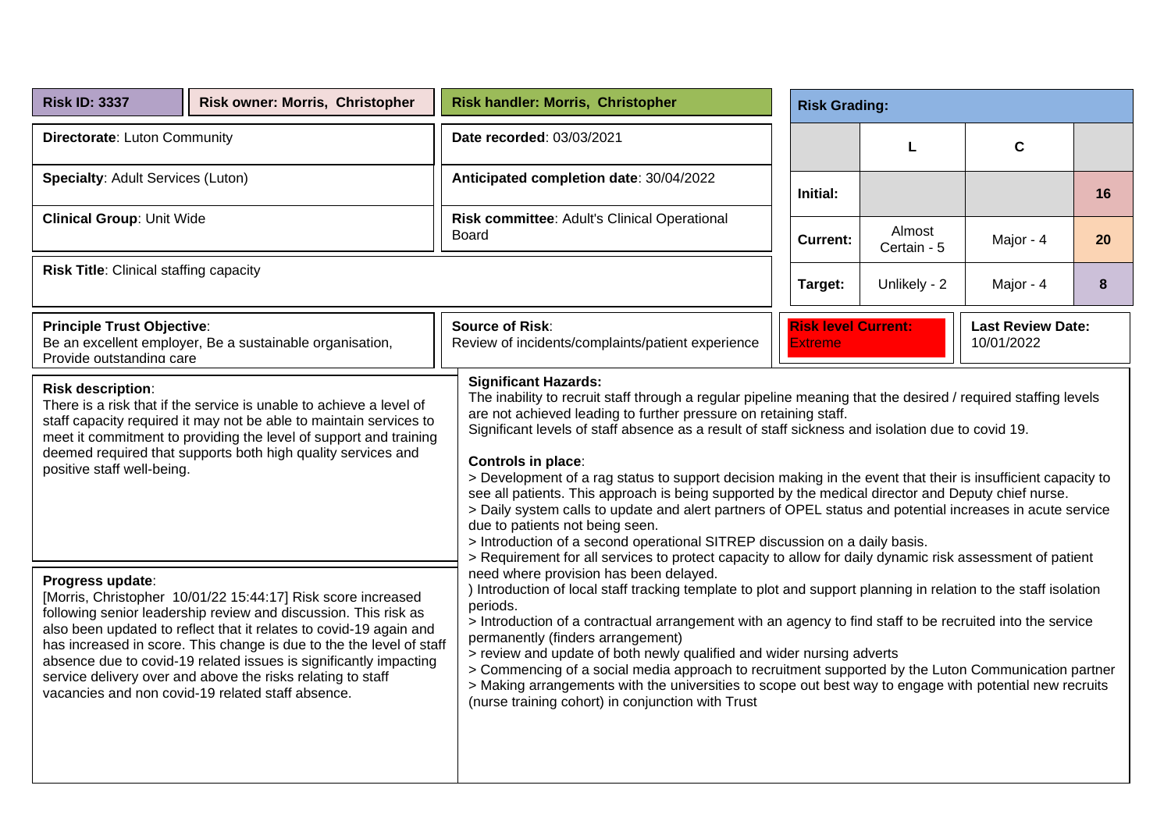| <b>Risk ID: 3337</b>                                          | Risk owner: Morris, Christopher                                                                                                                                                                                                                                                                                                                                                                                                                                        | Risk handler: Morris, Christopher                                                                                                                                                                                                                                                                                                                                                                                                                                                                                                                                                                                                                                                                                       |                                                                                                                                                                                                                                                                                                                                                                                                                                                                                                                                                                                                                                                                                                                   | <b>Risk Grading:</b>                                                                   |                       |           |           |  |  |
|---------------------------------------------------------------|------------------------------------------------------------------------------------------------------------------------------------------------------------------------------------------------------------------------------------------------------------------------------------------------------------------------------------------------------------------------------------------------------------------------------------------------------------------------|-------------------------------------------------------------------------------------------------------------------------------------------------------------------------------------------------------------------------------------------------------------------------------------------------------------------------------------------------------------------------------------------------------------------------------------------------------------------------------------------------------------------------------------------------------------------------------------------------------------------------------------------------------------------------------------------------------------------------|-------------------------------------------------------------------------------------------------------------------------------------------------------------------------------------------------------------------------------------------------------------------------------------------------------------------------------------------------------------------------------------------------------------------------------------------------------------------------------------------------------------------------------------------------------------------------------------------------------------------------------------------------------------------------------------------------------------------|----------------------------------------------------------------------------------------|-----------------------|-----------|-----------|--|--|
| Directorate: Luton Community                                  |                                                                                                                                                                                                                                                                                                                                                                                                                                                                        | Date recorded: 03/03/2021                                                                                                                                                                                                                                                                                                                                                                                                                                                                                                                                                                                                                                                                                               |                                                                                                                                                                                                                                                                                                                                                                                                                                                                                                                                                                                                                                                                                                                   |                                                                                        | L                     | C         |           |  |  |
| <b>Specialty: Adult Services (Luton)</b>                      |                                                                                                                                                                                                                                                                                                                                                                                                                                                                        | Anticipated completion date: 30/04/2022                                                                                                                                                                                                                                                                                                                                                                                                                                                                                                                                                                                                                                                                                 |                                                                                                                                                                                                                                                                                                                                                                                                                                                                                                                                                                                                                                                                                                                   | Initial:                                                                               |                       |           | 16        |  |  |
| <b>Clinical Group: Unit Wide</b>                              |                                                                                                                                                                                                                                                                                                                                                                                                                                                                        | Risk committee: Adult's Clinical Operational<br>Board                                                                                                                                                                                                                                                                                                                                                                                                                                                                                                                                                                                                                                                                   |                                                                                                                                                                                                                                                                                                                                                                                                                                                                                                                                                                                                                                                                                                                   | <b>Current:</b>                                                                        | Almost<br>Certain - 5 | Major - 4 | <b>20</b> |  |  |
| <b>Risk Title: Clinical staffing capacity</b>                 |                                                                                                                                                                                                                                                                                                                                                                                                                                                                        |                                                                                                                                                                                                                                                                                                                                                                                                                                                                                                                                                                                                                                                                                                                         | Unlikely - 2<br>Target:                                                                                                                                                                                                                                                                                                                                                                                                                                                                                                                                                                                                                                                                                           |                                                                                        |                       |           | 8         |  |  |
| <b>Principle Trust Objective:</b><br>Provide outstanding care | Be an excellent employer, Be a sustainable organisation,                                                                                                                                                                                                                                                                                                                                                                                                               | <b>Source of Risk:</b><br>Review of incidents/complaints/patient experience                                                                                                                                                                                                                                                                                                                                                                                                                                                                                                                                                                                                                                             |                                                                                                                                                                                                                                                                                                                                                                                                                                                                                                                                                                                                                                                                                                                   | <b>Risk level Current:</b><br><b>Last Review Date:</b><br><b>Extreme</b><br>10/01/2022 |                       |           |           |  |  |
| <b>Risk description:</b><br>positive staff well-being.        | There is a risk that if the service is unable to achieve a level of<br>staff capacity required it may not be able to maintain services to<br>meet it commitment to providing the level of support and training<br>deemed required that supports both high quality services and                                                                                                                                                                                         | <b>Significant Hazards:</b><br>The inability to recruit staff through a regular pipeline meaning that the desired / required staffing levels<br>are not achieved leading to further pressure on retaining staff.<br>Significant levels of staff absence as a result of staff sickness and isolation due to covid 19.<br><b>Controls in place:</b><br>> Development of a rag status to support decision making in the event that their is insufficient capacity to<br>see all patients. This approach is being supported by the medical director and Deputy chief nurse.<br>> Daily system calls to update and alert partners of OPEL status and potential increases in acute service<br>due to patients not being seen. |                                                                                                                                                                                                                                                                                                                                                                                                                                                                                                                                                                                                                                                                                                                   |                                                                                        |                       |           |           |  |  |
| Progress update:                                              | [Morris, Christopher 10/01/22 15:44:17] Risk score increased<br>following senior leadership review and discussion. This risk as<br>also been updated to reflect that it relates to covid-19 again and<br>has increased in score. This change is due to the the level of staff<br>absence due to covid-19 related issues is significantly impacting<br>service delivery over and above the risks relating to staff<br>vacancies and non covid-19 related staff absence. | need where provision has been delayed.<br>periods.<br>permanently (finders arrangement)<br>(nurse training cohort) in conjunction with Trust                                                                                                                                                                                                                                                                                                                                                                                                                                                                                                                                                                            | > Introduction of a second operational SITREP discussion on a daily basis.<br>> Requirement for all services to protect capacity to allow for daily dynamic risk assessment of patient<br>) Introduction of local staff tracking template to plot and support planning in relation to the staff isolation<br>> Introduction of a contractual arrangement with an agency to find staff to be recruited into the service<br>> review and update of both newly qualified and wider nursing adverts<br>> Commencing of a social media approach to recruitment supported by the Luton Communication partner<br>> Making arrangements with the universities to scope out best way to engage with potential new recruits |                                                                                        |                       |           |           |  |  |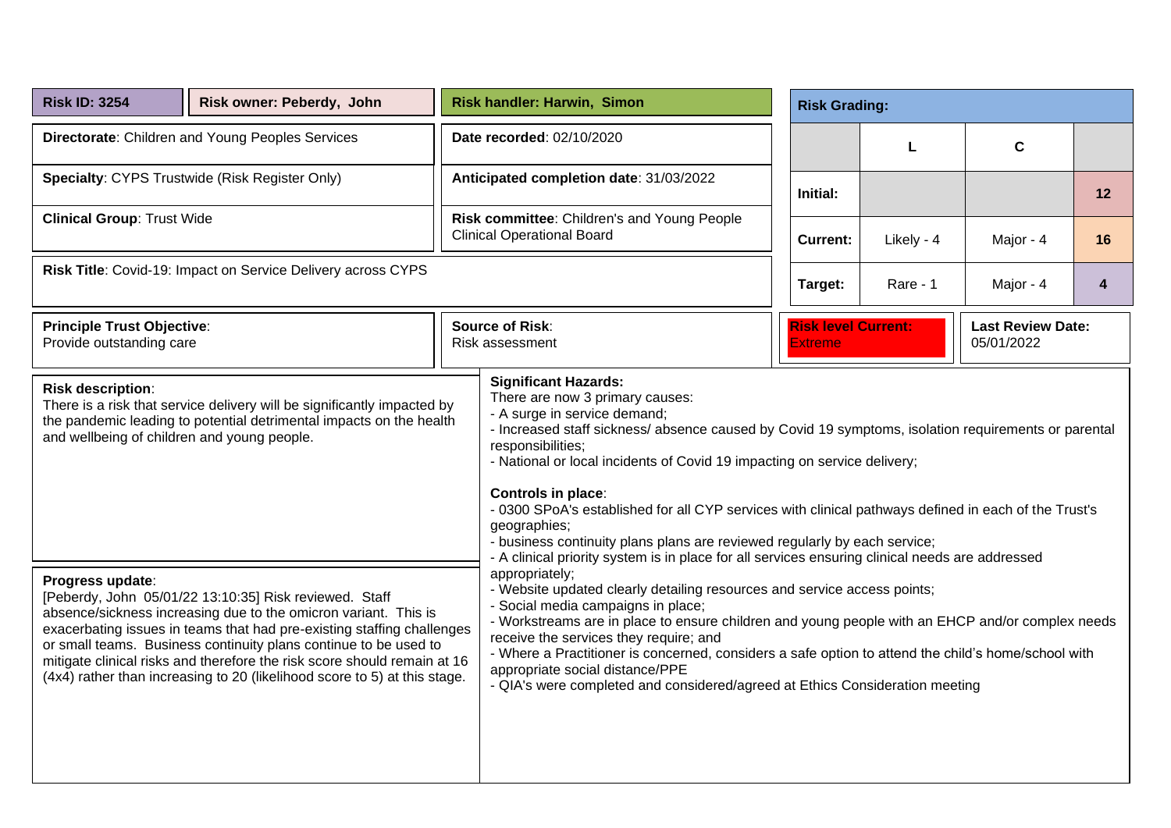| <b>Risk ID: 3254</b>                                                    | Risk owner: Peberdy, John                                                                                                                                                                                                                                                                                                                                                                                                        |                                                                                                                                                                                                                                                                                                                                                                                                                                                                                                                                                                                                                                             | <b>Risk handler: Harwin, Simon</b><br><b>Risk Grading:</b>                       |                                              |                                        |            |           |    |
|-------------------------------------------------------------------------|----------------------------------------------------------------------------------------------------------------------------------------------------------------------------------------------------------------------------------------------------------------------------------------------------------------------------------------------------------------------------------------------------------------------------------|---------------------------------------------------------------------------------------------------------------------------------------------------------------------------------------------------------------------------------------------------------------------------------------------------------------------------------------------------------------------------------------------------------------------------------------------------------------------------------------------------------------------------------------------------------------------------------------------------------------------------------------------|----------------------------------------------------------------------------------|----------------------------------------------|----------------------------------------|------------|-----------|----|
|                                                                         | Directorate: Children and Young Peoples Services                                                                                                                                                                                                                                                                                                                                                                                 |                                                                                                                                                                                                                                                                                                                                                                                                                                                                                                                                                                                                                                             | Date recorded: 02/10/2020                                                        |                                              |                                        | L          | C         |    |
| <b>Specialty: CYPS Trustwide (Risk Register Only)</b>                   |                                                                                                                                                                                                                                                                                                                                                                                                                                  |                                                                                                                                                                                                                                                                                                                                                                                                                                                                                                                                                                                                                                             | Anticipated completion date: 31/03/2022                                          |                                              | Initial:                               |            |           | 12 |
| <b>Clinical Group: Trust Wide</b>                                       |                                                                                                                                                                                                                                                                                                                                                                                                                                  |                                                                                                                                                                                                                                                                                                                                                                                                                                                                                                                                                                                                                                             | Risk committee: Children's and Young People<br><b>Clinical Operational Board</b> |                                              | <b>Current:</b>                        | Likely - 4 | Major - 4 | 16 |
| Risk Title: Covid-19: Impact on Service Delivery across CYPS            |                                                                                                                                                                                                                                                                                                                                                                                                                                  |                                                                                                                                                                                                                                                                                                                                                                                                                                                                                                                                                                                                                                             | Target:<br>Rare - 1<br>Major - 4                                                 |                                              |                                        |            |           | 4  |
| <b>Principle Trust Objective:</b><br>Provide outstanding care           |                                                                                                                                                                                                                                                                                                                                                                                                                                  |                                                                                                                                                                                                                                                                                                                                                                                                                                                                                                                                                                                                                                             | <b>Source of Risk:</b><br>Risk assessment                                        | <b>Risk level Current:</b><br><b>Extreme</b> | <b>Last Review Date:</b><br>05/01/2022 |            |           |    |
| <b>Risk description:</b><br>and wellbeing of children and young people. | There is a risk that service delivery will be significantly impacted by<br>the pandemic leading to potential detrimental impacts on the health                                                                                                                                                                                                                                                                                   | <b>Significant Hazards:</b><br>There are now 3 primary causes:<br>- A surge in service demand;<br>- Increased staff sickness/ absence caused by Covid 19 symptoms, isolation requirements or parental<br>responsibilities;<br>- National or local incidents of Covid 19 impacting on service delivery;<br><b>Controls in place:</b><br>- 0300 SPoA's established for all CYP services with clinical pathways defined in each of the Trust's<br>geographies;<br>- business continuity plans plans are reviewed regularly by each service;<br>- A clinical priority system is in place for all services ensuring clinical needs are addressed |                                                                                  |                                              |                                        |            |           |    |
| Progress update:                                                        | [Peberdy, John 05/01/22 13:10:35] Risk reviewed. Staff<br>absence/sickness increasing due to the omicron variant. This is<br>exacerbating issues in teams that had pre-existing staffing challenges<br>or small teams. Business continuity plans continue to be used to<br>mitigate clinical risks and therefore the risk score should remain at 16<br>(4x4) rather than increasing to 20 (likelihood score to 5) at this stage. | appropriately;<br>- Website updated clearly detailing resources and service access points;<br>- Social media campaigns in place;<br>- Workstreams are in place to ensure children and young people with an EHCP and/or complex needs<br>receive the services they require; and<br>- Where a Practitioner is concerned, considers a safe option to attend the child's home/school with<br>appropriate social distance/PPE<br>- QIA's were completed and considered/agreed at Ethics Consideration meeting                                                                                                                                    |                                                                                  |                                              |                                        |            |           |    |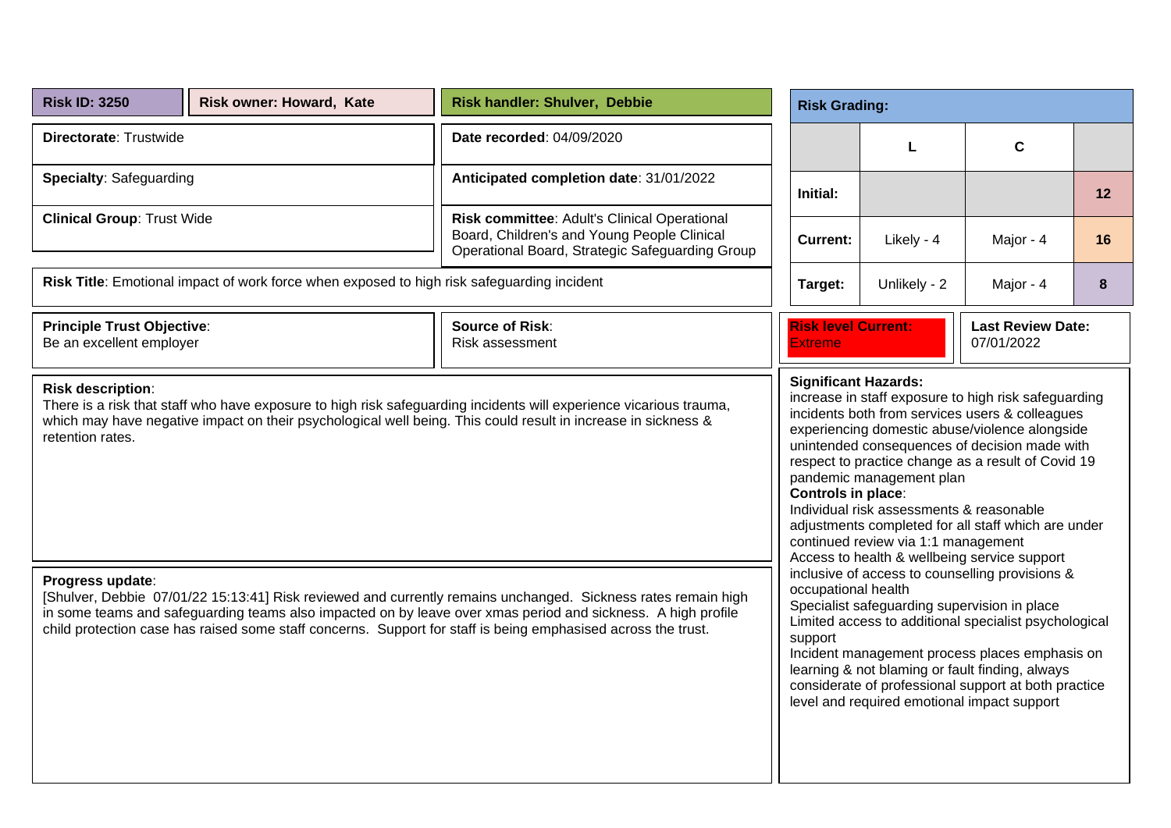| <b>Risk ID: 3250</b>                                          | Risk owner: Howard, Kate                                                                   | Risk handler: Shulver, Debbie                                                                                                                                                                                                                                                                                                                  | <b>Risk Grading:</b>                              |                                                                                                                                                             |                                                                                                                                                                                                                                                                                                                         |    |  |  |
|---------------------------------------------------------------|--------------------------------------------------------------------------------------------|------------------------------------------------------------------------------------------------------------------------------------------------------------------------------------------------------------------------------------------------------------------------------------------------------------------------------------------------|---------------------------------------------------|-------------------------------------------------------------------------------------------------------------------------------------------------------------|-------------------------------------------------------------------------------------------------------------------------------------------------------------------------------------------------------------------------------------------------------------------------------------------------------------------------|----|--|--|
| Directorate: Trustwide                                        |                                                                                            | Date recorded: 04/09/2020                                                                                                                                                                                                                                                                                                                      |                                                   | L                                                                                                                                                           | $\mathbf c$                                                                                                                                                                                                                                                                                                             |    |  |  |
| Specialty: Safeguarding                                       |                                                                                            | Anticipated completion date: 31/01/2022                                                                                                                                                                                                                                                                                                        | Initial:                                          |                                                                                                                                                             |                                                                                                                                                                                                                                                                                                                         | 12 |  |  |
| <b>Clinical Group: Trust Wide</b>                             |                                                                                            | Risk committee: Adult's Clinical Operational<br>Board, Children's and Young People Clinical<br>Operational Board, Strategic Safeguarding Group                                                                                                                                                                                                 | <b>Current:</b>                                   | Likely - 4                                                                                                                                                  | Major - 4                                                                                                                                                                                                                                                                                                               | 16 |  |  |
|                                                               | Risk Title: Emotional impact of work force when exposed to high risk safeguarding incident |                                                                                                                                                                                                                                                                                                                                                | Target:                                           | Unlikely - 2                                                                                                                                                | Major - 4                                                                                                                                                                                                                                                                                                               | 8  |  |  |
| <b>Principle Trust Objective:</b><br>Be an excellent employer |                                                                                            | <b>Source of Risk:</b><br>Risk assessment                                                                                                                                                                                                                                                                                                      | <b>Risk level Current:</b><br><b>Extreme</b>      |                                                                                                                                                             | <b>Last Review Date:</b><br>07/01/2022                                                                                                                                                                                                                                                                                  |    |  |  |
| <b>Risk description:</b><br>retention rates.                  |                                                                                            | There is a risk that staff who have exposure to high risk safeguarding incidents will experience vicarious trauma,<br>which may have negative impact on their psychological well being. This could result in increase in sickness &                                                                                                            | <b>Significant Hazards:</b><br>Controls in place: | pandemic management plan<br>Individual risk assessments & reasonable<br>continued review via 1:1 management<br>Access to health & wellbeing service support | increase in staff exposure to high risk safeguarding<br>incidents both from services users & colleagues<br>experiencing domestic abuse/violence alongside<br>unintended consequences of decision made with<br>respect to practice change as a result of Covid 19<br>adjustments completed for all staff which are under |    |  |  |
| Progress update:                                              |                                                                                            | [Shulver, Debbie 07/01/22 15:13:41] Risk reviewed and currently remains unchanged. Sickness rates remain high<br>in some teams and safeguarding teams also impacted on by leave over xmas period and sickness. A high profile<br>child protection case has raised some staff concerns. Support for staff is being emphasised across the trust. | occupational health<br>support                    | Specialist safeguarding supervision in place<br>level and required emotional impact support                                                                 | inclusive of access to counselling provisions &<br>Limited access to additional specialist psychological<br>Incident management process places emphasis on<br>learning & not blaming or fault finding, always<br>considerate of professional support at both practice                                                   |    |  |  |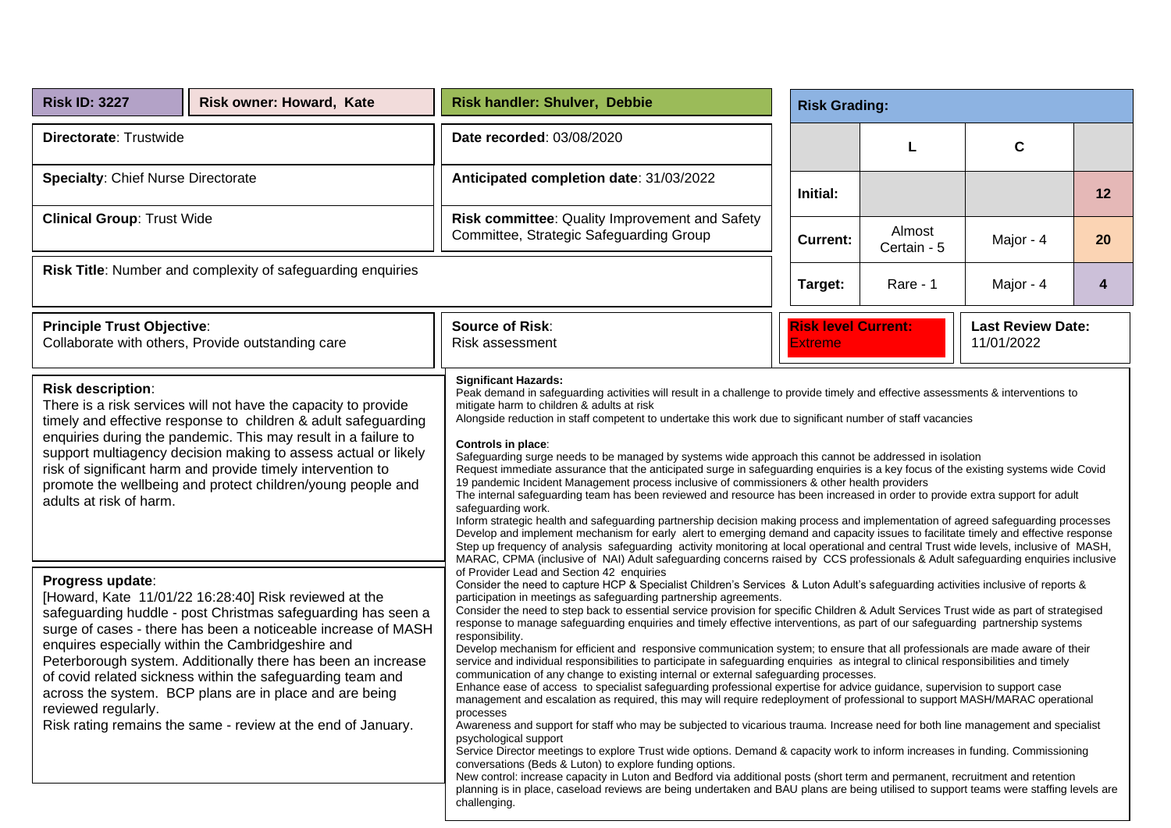| <b>Risk ID: 3227</b>                                                                                                                                                                                                                                                                                                                                                                                                                                                                                                                            | <b>Risk owner: Howard, Kate</b> | Risk handler: Shulver, Debbie                                                                                                                                                                                                                                                                                                                                                                                                                                                                                                                                                                                                                                                                                                                                                                                                                                                                                                                                                                                                                                                                                                                                                                                                                                                                                                                                                                                                                                                                                                                                                                                                                                                                                                                                                                                                                  |  | <b>Risk Grading:</b>                  |                       |                                        |    |  |  |  |  |
|-------------------------------------------------------------------------------------------------------------------------------------------------------------------------------------------------------------------------------------------------------------------------------------------------------------------------------------------------------------------------------------------------------------------------------------------------------------------------------------------------------------------------------------------------|---------------------------------|------------------------------------------------------------------------------------------------------------------------------------------------------------------------------------------------------------------------------------------------------------------------------------------------------------------------------------------------------------------------------------------------------------------------------------------------------------------------------------------------------------------------------------------------------------------------------------------------------------------------------------------------------------------------------------------------------------------------------------------------------------------------------------------------------------------------------------------------------------------------------------------------------------------------------------------------------------------------------------------------------------------------------------------------------------------------------------------------------------------------------------------------------------------------------------------------------------------------------------------------------------------------------------------------------------------------------------------------------------------------------------------------------------------------------------------------------------------------------------------------------------------------------------------------------------------------------------------------------------------------------------------------------------------------------------------------------------------------------------------------------------------------------------------------------------------------------------------------|--|---------------------------------------|-----------------------|----------------------------------------|----|--|--|--|--|
| Directorate: Trustwide                                                                                                                                                                                                                                                                                                                                                                                                                                                                                                                          |                                 | Date recorded: 03/08/2020                                                                                                                                                                                                                                                                                                                                                                                                                                                                                                                                                                                                                                                                                                                                                                                                                                                                                                                                                                                                                                                                                                                                                                                                                                                                                                                                                                                                                                                                                                                                                                                                                                                                                                                                                                                                                      |  |                                       |                       | $\mathbf c$                            |    |  |  |  |  |
| <b>Specialty: Chief Nurse Directorate</b>                                                                                                                                                                                                                                                                                                                                                                                                                                                                                                       |                                 | Anticipated completion date: 31/03/2022                                                                                                                                                                                                                                                                                                                                                                                                                                                                                                                                                                                                                                                                                                                                                                                                                                                                                                                                                                                                                                                                                                                                                                                                                                                                                                                                                                                                                                                                                                                                                                                                                                                                                                                                                                                                        |  | Initial:                              |                       |                                        | 12 |  |  |  |  |
| <b>Clinical Group: Trust Wide</b>                                                                                                                                                                                                                                                                                                                                                                                                                                                                                                               |                                 | Risk committee: Quality Improvement and Safety<br>Committee, Strategic Safeguarding Group                                                                                                                                                                                                                                                                                                                                                                                                                                                                                                                                                                                                                                                                                                                                                                                                                                                                                                                                                                                                                                                                                                                                                                                                                                                                                                                                                                                                                                                                                                                                                                                                                                                                                                                                                      |  | <b>Current:</b>                       | Almost<br>Certain - 5 | Major - 4                              | 20 |  |  |  |  |
| Risk Title: Number and complexity of safeguarding enquiries                                                                                                                                                                                                                                                                                                                                                                                                                                                                                     |                                 |                                                                                                                                                                                                                                                                                                                                                                                                                                                                                                                                                                                                                                                                                                                                                                                                                                                                                                                                                                                                                                                                                                                                                                                                                                                                                                                                                                                                                                                                                                                                                                                                                                                                                                                                                                                                                                                |  | Target:                               | Rare - 1              | Major - 4                              | 4  |  |  |  |  |
| <b>Principle Trust Objective:</b><br>Collaborate with others, Provide outstanding care                                                                                                                                                                                                                                                                                                                                                                                                                                                          |                                 | <b>Source of Risk:</b><br>Risk assessment                                                                                                                                                                                                                                                                                                                                                                                                                                                                                                                                                                                                                                                                                                                                                                                                                                                                                                                                                                                                                                                                                                                                                                                                                                                                                                                                                                                                                                                                                                                                                                                                                                                                                                                                                                                                      |  | <b>Risk level Current:</b><br>Extreme |                       | <b>Last Review Date:</b><br>11/01/2022 |    |  |  |  |  |
| <b>Risk description:</b><br>There is a risk services will not have the capacity to provide<br>timely and effective response to children & adult safeguarding<br>enquiries during the pandemic. This may result in a failure to<br>support multiagency decision making to assess actual or likely<br>risk of significant harm and provide timely intervention to<br>promote the wellbeing and protect children/young people and<br>adults at risk of harm.                                                                                       |                                 | <b>Significant Hazards:</b><br>Peak demand in safeguarding activities will result in a challenge to provide timely and effective assessments & interventions to<br>mitigate harm to children & adults at risk<br>Alongside reduction in staff competent to undertake this work due to significant number of staff vacancies<br>Controls in place:<br>Safeguarding surge needs to be managed by systems wide approach this cannot be addressed in isolation<br>Request immediate assurance that the anticipated surge in safequarding enguiries is a key focus of the existing systems wide Covid<br>19 pandemic Incident Management process inclusive of commissioners & other health providers<br>The internal safeguarding team has been reviewed and resource has been increased in order to provide extra support for adult<br>safequarding work.<br>Inform strategic health and safeguarding partnership decision making process and implementation of agreed safeguarding processes<br>Develop and implement mechanism for early alert to emerging demand and capacity issues to facilitate timely and effective response<br>Step up frequency of analysis safeguarding activity monitoring at local operational and central Trust wide levels, inclusive of MASH,<br>MARAC, CPMA (inclusive of NAI) Adult safeguarding concerns raised by CCS professionals & Adult safeguarding enquiries inclusive                                                                                                                                                                                                                                                                                                                                                                                                                                    |  |                                       |                       |                                        |    |  |  |  |  |
| Progress update:<br>[Howard, Kate 11/01/22 16:28:40] Risk reviewed at the<br>safeguarding huddle - post Christmas safeguarding has seen a<br>surge of cases - there has been a noticeable increase of MASH<br>enquires especially within the Cambridgeshire and<br>Peterborough system. Additionally there has been an increase<br>of covid related sickness within the safeguarding team and<br>across the system. BCP plans are in place and are being<br>reviewed regularly.<br>Risk rating remains the same - review at the end of January. |                                 | of Provider Lead and Section 42 enquiries<br>Consider the need to capture HCP & Specialist Children's Services & Luton Adult's safeguarding activities inclusive of reports &<br>participation in meetings as safeguarding partnership agreements.<br>Consider the need to step back to essential service provision for specific Children & Adult Services Trust wide as part of strategised<br>response to manage safeguarding enquiries and timely effective interventions, as part of our safeguarding partnership systems<br>responsibility.<br>Develop mechanism for efficient and responsive communication system; to ensure that all professionals are made aware of their<br>service and individual responsibilities to participate in safeguarding enquiries as integral to clinical responsibilities and timely<br>communication of any change to existing internal or external safeguarding processes.<br>Enhance ease of access to specialist safeguarding professional expertise for advice guidance, supervision to support case<br>management and escalation as required, this may will require redeployment of professional to support MASH/MARAC operational<br>processes<br>Awareness and support for staff who may be subjected to vicarious trauma. Increase need for both line management and specialist<br>psychological support<br>Service Director meetings to explore Trust wide options. Demand & capacity work to inform increases in funding. Commissioning<br>conversations (Beds & Luton) to explore funding options.<br>New control: increase capacity in Luton and Bedford via additional posts (short term and permanent, recruitment and retention<br>planning is in place, caseload reviews are being undertaken and BAU plans are being utilised to support teams were staffing levels are<br>challenging. |  |                                       |                       |                                        |    |  |  |  |  |